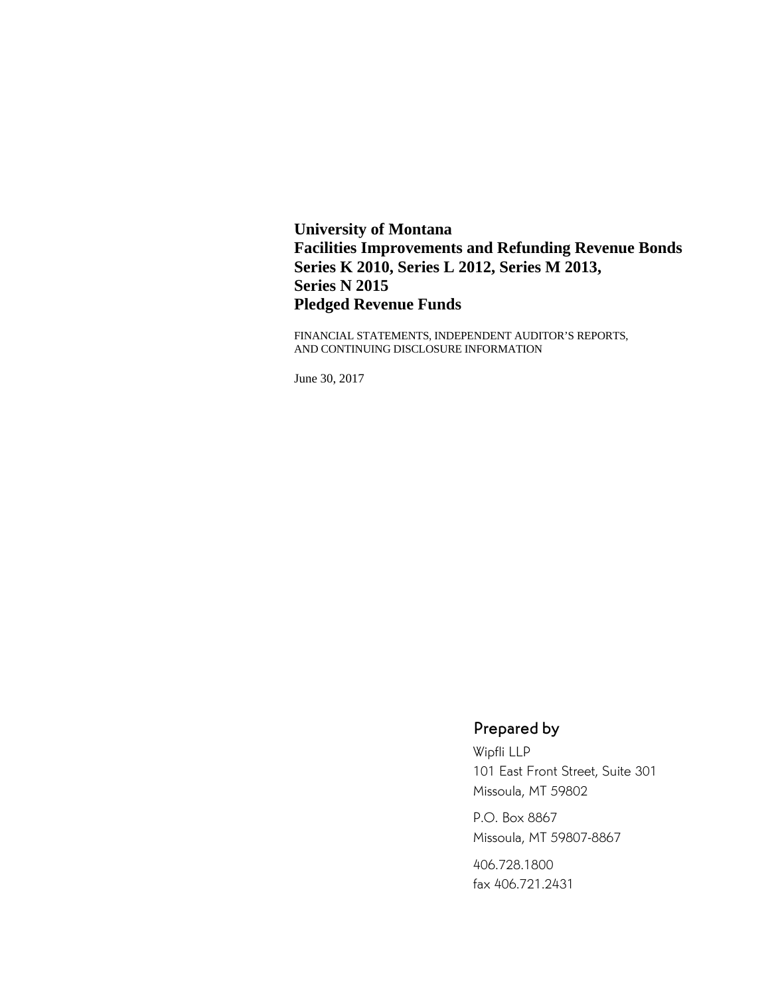**University of Montana Facilities Improvements and Refunding Revenue Bonds Series K 2010, Series L 2012, Series M 2013, Series N 2015 Pledged Revenue Funds** 

FINANCIAL STATEMENTS, INDEPENDENT AUDITOR'S REPORTS, AND CONTINUING DISCLOSURE INFORMATION

June 30, 2017

# Prepared by

Wipfli LLP 101 East Front Street, Suite 301 Missoula, MT 59802

P.O. Box 8867 Missoula, MT 59807-8867

406.728.1800 fax 406.721.2431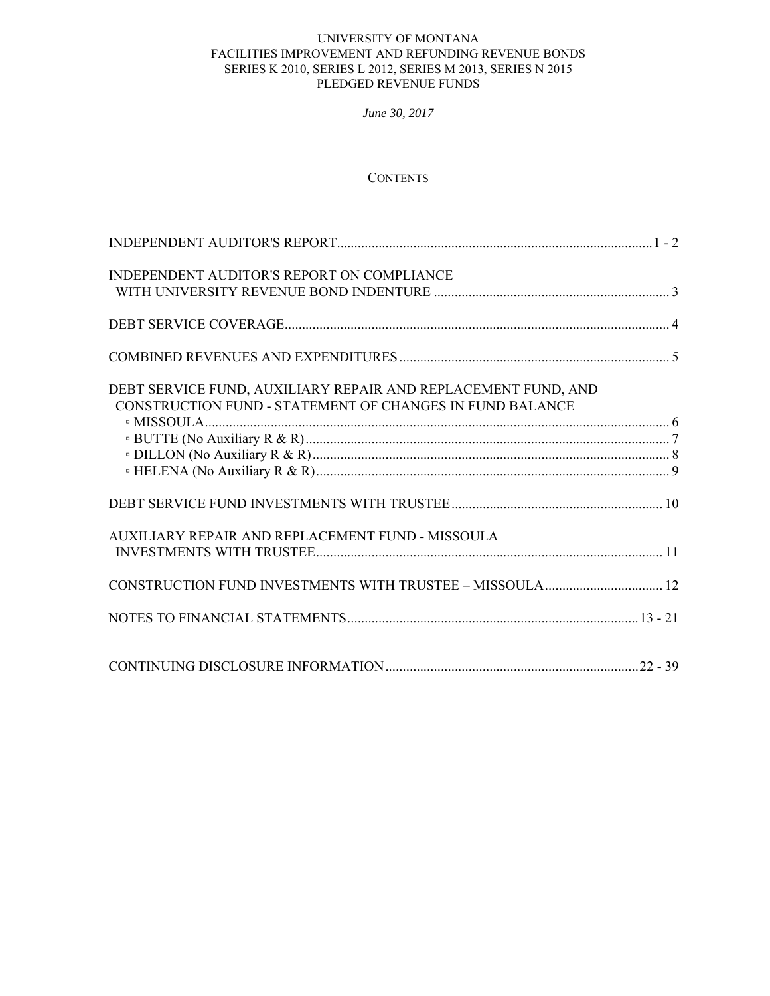*June 30, 2017*

# **CONTENTS**

| INDEPENDENT AUDITOR'S REPORT ON COMPLIANCE                                                                                |  |
|---------------------------------------------------------------------------------------------------------------------------|--|
|                                                                                                                           |  |
|                                                                                                                           |  |
| DEBT SERVICE FUND, AUXILIARY REPAIR AND REPLACEMENT FUND, AND<br>CONSTRUCTION FUND - STATEMENT OF CHANGES IN FUND BALANCE |  |
|                                                                                                                           |  |
| AUXILIARY REPAIR AND REPLACEMENT FUND - MISSOULA                                                                          |  |
| CONSTRUCTION FUND INVESTMENTS WITH TRUSTEE - MISSOULA 12                                                                  |  |
|                                                                                                                           |  |
|                                                                                                                           |  |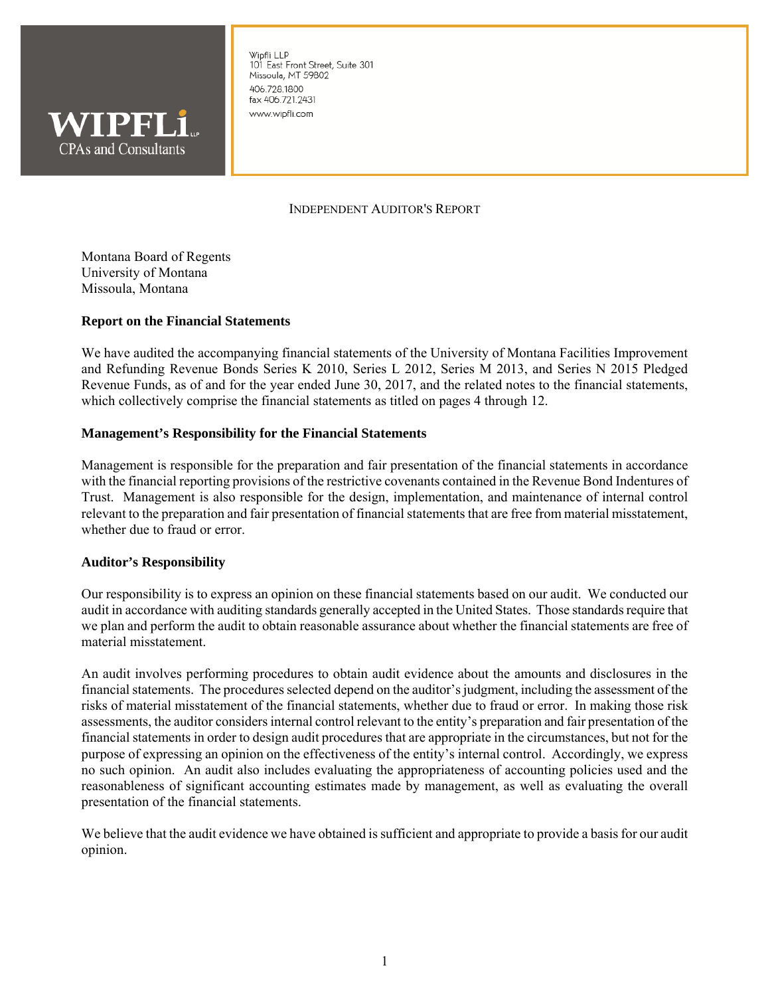

Winfli I I P 101 East Front Street, Suite 301 Missoula, MT 59802 406.728.1800 fax 406.721.2431 www.wipfli.com

# INDEPENDENT AUDITOR'S REPORT

Montana Board of Regents University of Montana Missoula, Montana

## **Report on the Financial Statements**

We have audited the accompanying financial statements of the University of Montana Facilities Improvement and Refunding Revenue Bonds Series K 2010, Series L 2012, Series M 2013, and Series N 2015 Pledged Revenue Funds, as of and for the year ended June 30, 2017, and the related notes to the financial statements, which collectively comprise the financial statements as titled on pages 4 through 12.

# **Management's Responsibility for the Financial Statements**

Management is responsible for the preparation and fair presentation of the financial statements in accordance with the financial reporting provisions of the restrictive covenants contained in the Revenue Bond Indentures of Trust. Management is also responsible for the design, implementation, and maintenance of internal control relevant to the preparation and fair presentation of financial statements that are free from material misstatement, whether due to fraud or error.

#### **Auditor's Responsibility**

Our responsibility is to express an opinion on these financial statements based on our audit. We conducted our audit in accordance with auditing standards generally accepted in the United States. Those standards require that we plan and perform the audit to obtain reasonable assurance about whether the financial statements are free of material misstatement.

An audit involves performing procedures to obtain audit evidence about the amounts and disclosures in the financial statements. The procedures selected depend on the auditor's judgment, including the assessment of the risks of material misstatement of the financial statements, whether due to fraud or error. In making those risk assessments, the auditor considers internal control relevant to the entity's preparation and fair presentation of the financial statements in order to design audit procedures that are appropriate in the circumstances, but not for the purpose of expressing an opinion on the effectiveness of the entity's internal control. Accordingly, we express no such opinion. An audit also includes evaluating the appropriateness of accounting policies used and the reasonableness of significant accounting estimates made by management, as well as evaluating the overall presentation of the financial statements.

We believe that the audit evidence we have obtained is sufficient and appropriate to provide a basis for our audit opinion.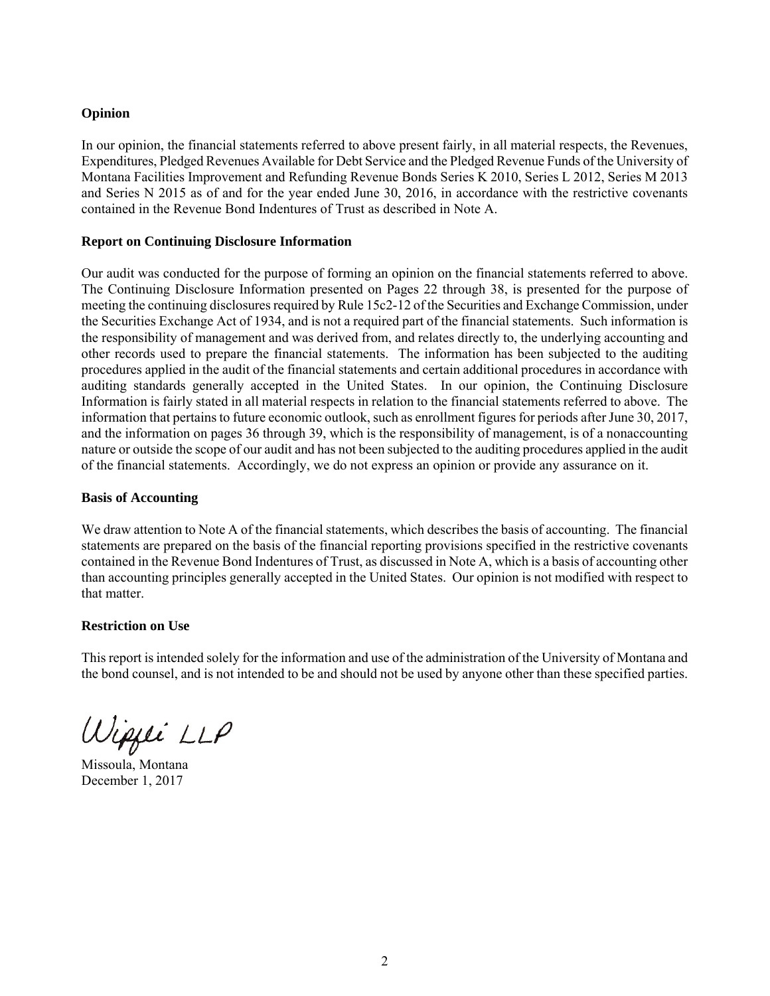# **Opinion**

In our opinion, the financial statements referred to above present fairly, in all material respects, the Revenues, Expenditures, Pledged Revenues Available for Debt Service and the Pledged Revenue Funds of the University of Montana Facilities Improvement and Refunding Revenue Bonds Series K 2010, Series L 2012, Series M 2013 and Series N 2015 as of and for the year ended June 30, 2016, in accordance with the restrictive covenants contained in the Revenue Bond Indentures of Trust as described in Note A.

# **Report on Continuing Disclosure Information**

Our audit was conducted for the purpose of forming an opinion on the financial statements referred to above. The Continuing Disclosure Information presented on Pages 22 through 38, is presented for the purpose of meeting the continuing disclosures required by Rule 15c2-12 of the Securities and Exchange Commission, under the Securities Exchange Act of 1934, and is not a required part of the financial statements. Such information is the responsibility of management and was derived from, and relates directly to, the underlying accounting and other records used to prepare the financial statements. The information has been subjected to the auditing procedures applied in the audit of the financial statements and certain additional procedures in accordance with auditing standards generally accepted in the United States. In our opinion, the Continuing Disclosure Information is fairly stated in all material respects in relation to the financial statements referred to above. The information that pertains to future economic outlook, such as enrollment figures for periods after June 30, 2017, and the information on pages 36 through 39, which is the responsibility of management, is of a nonaccounting nature or outside the scope of our audit and has not been subjected to the auditing procedures applied in the audit of the financial statements. Accordingly, we do not express an opinion or provide any assurance on it.

# **Basis of Accounting**

We draw attention to Note A of the financial statements, which describes the basis of accounting. The financial statements are prepared on the basis of the financial reporting provisions specified in the restrictive covenants contained in the Revenue Bond Indentures of Trust, as discussed in Note A, which is a basis of accounting other than accounting principles generally accepted in the United States. Our opinion is not modified with respect to that matter.

# **Restriction on Use**

This report is intended solely for the information and use of the administration of the University of Montana and the bond counsel, and is not intended to be and should not be used by anyone other than these specified parties.

Wippei LLP

Missoula, Montana December 1, 2017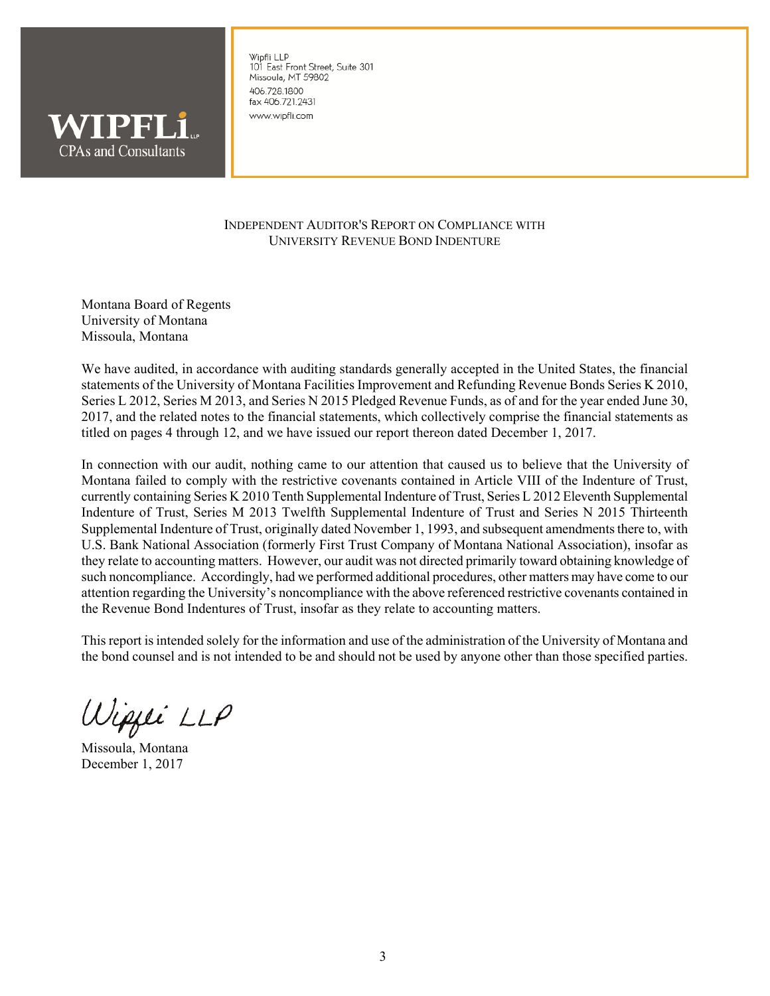

Wipfli LLP 101 East Front Street, Suite 301 Missoula, MT 59802 406.728.1800 fax 406.721.2431 www.wipfli.com

# INDEPENDENT AUDITOR'S REPORT ON COMPLIANCE WITH UNIVERSITY REVENUE BOND INDENTURE

Montana Board of Regents University of Montana Missoula, Montana

We have audited, in accordance with auditing standards generally accepted in the United States, the financial statements of the University of Montana Facilities Improvement and Refunding Revenue Bonds Series K 2010, Series L 2012, Series M 2013, and Series N 2015 Pledged Revenue Funds, as of and for the year ended June 30, 2017, and the related notes to the financial statements, which collectively comprise the financial statements as titled on pages 4 through 12, and we have issued our report thereon dated December 1, 2017.

In connection with our audit, nothing came to our attention that caused us to believe that the University of Montana failed to comply with the restrictive covenants contained in Article VIII of the Indenture of Trust, currently containing Series K 2010 Tenth Supplemental Indenture of Trust, Series L 2012 Eleventh Supplemental Indenture of Trust, Series M 2013 Twelfth Supplemental Indenture of Trust and Series N 2015 Thirteenth Supplemental Indenture of Trust, originally dated November 1, 1993, and subsequent amendments there to, with U.S. Bank National Association (formerly First Trust Company of Montana National Association), insofar as they relate to accounting matters. However, our audit was not directed primarily toward obtaining knowledge of such noncompliance. Accordingly, had we performed additional procedures, other matters may have come to our attention regarding the University's noncompliance with the above referenced restrictive covenants contained in the Revenue Bond Indentures of Trust, insofar as they relate to accounting matters.

This report is intended solely for the information and use of the administration of the University of Montana and the bond counsel and is not intended to be and should not be used by anyone other than those specified parties.

Wippei LLP

Missoula, Montana December 1, 2017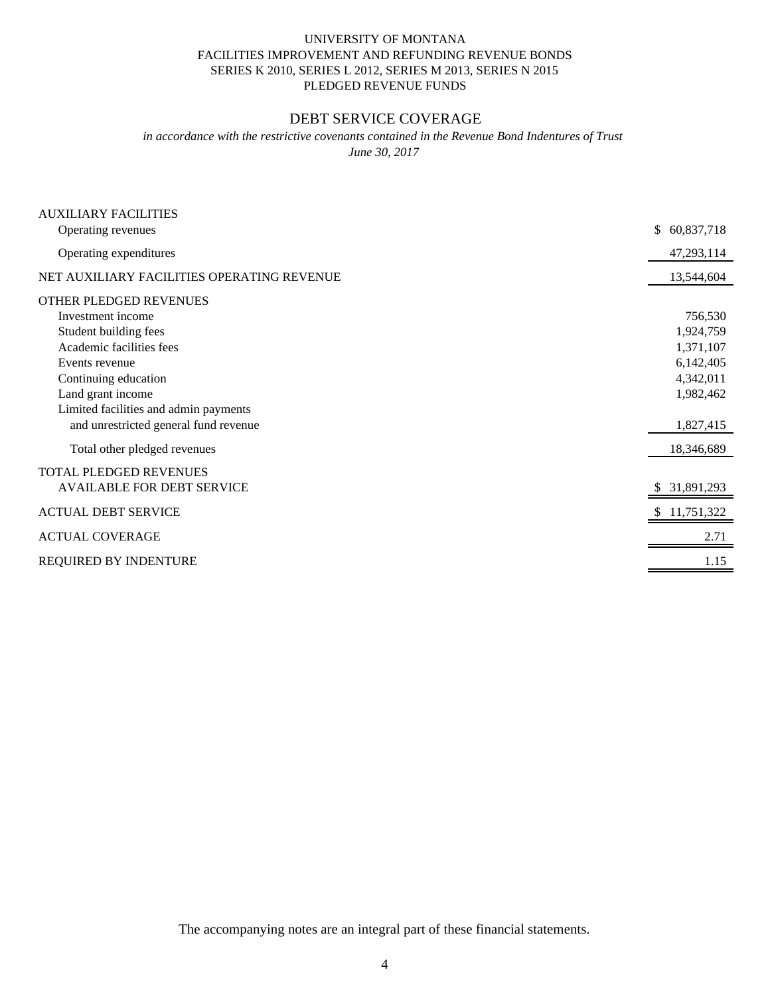# SERIES K 2010, SERIES L 2012, SERIES M 2013, SERIES N 2015 FACILITIES IMPROVEMENT AND REFUNDING REVENUE BONDS UNIVERSITY OF MONTANA PLEDGED REVENUE FUNDS

# DEBT SERVICE COVERAGE

*in accordance with the restrictive covenants contained in the Revenue Bond Indentures of Trust June 30, 2017*

| <b>AUXILIARY FACILITIES</b><br>Operating revenues | 60,837,718<br>\$ |
|---------------------------------------------------|------------------|
|                                                   |                  |
| Operating expenditures                            | 47,293,114       |
| NET AUXILIARY FACILITIES OPERATING REVENUE        | 13,544,604       |
| OTHER PLEDGED REVENUES                            |                  |
| Investment income                                 | 756,530          |
| Student building fees                             | 1,924,759        |
| Academic facilities fees                          | 1,371,107        |
| Events revenue                                    | 6,142,405        |
| Continuing education                              | 4,342,011        |
| Land grant income                                 | 1,982,462        |
| Limited facilities and admin payments             |                  |
| and unrestricted general fund revenue             | 1,827,415        |
| Total other pledged revenues                      | 18,346,689       |
| TOTAL PLEDGED REVENUES                            |                  |
| <b>AVAILABLE FOR DEBT SERVICE</b>                 | 31,891,293       |
| <b>ACTUAL DEBT SERVICE</b>                        | 11,751,322       |
| <b>ACTUAL COVERAGE</b>                            | 2.71             |
| REQUIRED BY INDENTURE                             | 1.15             |
|                                                   |                  |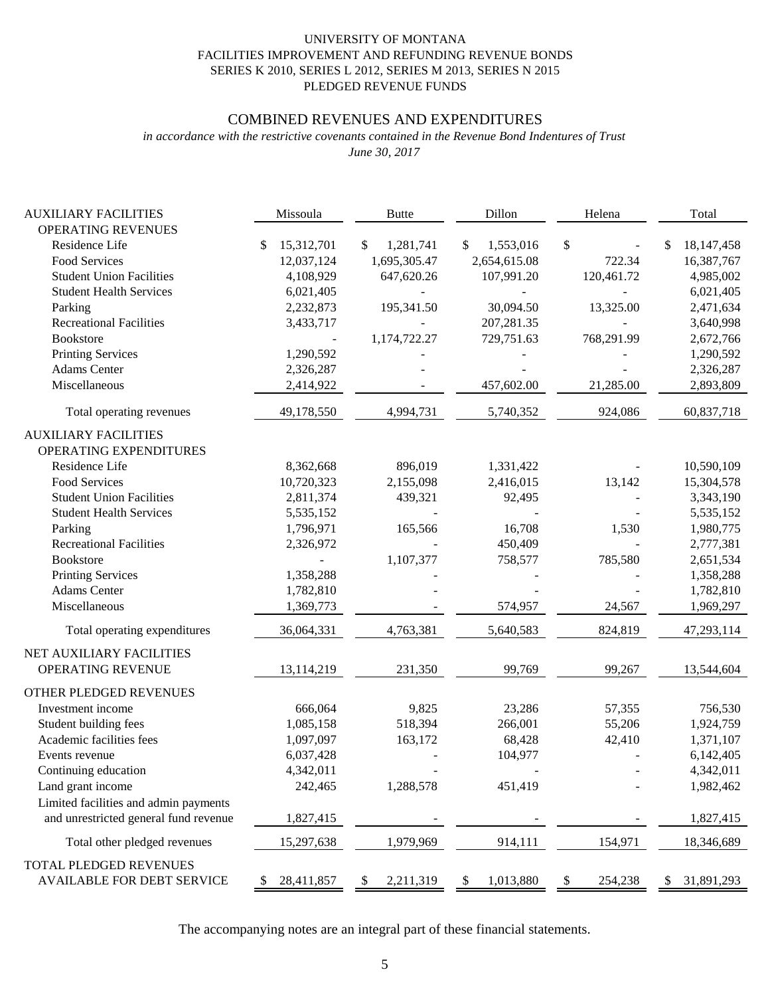# FACILITIES IMPROVEMENT AND REFUNDING REVENUE BONDS UNIVERSITY OF MONTANA PLEDGED REVENUE FUNDS SERIES K 2010, SERIES L 2012, SERIES M 2013, SERIES N 2015

# COMBINED REVENUES AND EXPENDITURES

*June 30, 2017 in accordance with the restrictive covenants contained in the Revenue Bond Indentures of Trust*

| <b>AUXILIARY FACILITIES</b>                           | Missoula                       | <b>Butte</b>                    | Dillon                          | Helena        | Total                      |
|-------------------------------------------------------|--------------------------------|---------------------------------|---------------------------------|---------------|----------------------------|
| OPERATING REVENUES<br>Residence Life                  |                                |                                 |                                 |               | \$                         |
| Food Services                                         | 15,312,701<br>\$<br>12,037,124 | 1,281,741<br>\$<br>1,695,305.47 | 1,553,016<br>\$<br>2,654,615.08 | \$<br>722.34  | 18, 147, 458<br>16,387,767 |
| <b>Student Union Facilities</b>                       |                                | 647,620.26                      | 107,991.20                      | 120,461.72    | 4,985,002                  |
| <b>Student Health Services</b>                        | 4,108,929                      |                                 |                                 |               |                            |
|                                                       | 6,021,405                      |                                 |                                 |               | 6,021,405                  |
| Parking<br><b>Recreational Facilities</b>             | 2,232,873                      | 195,341.50                      | 30,094.50                       | 13,325.00     | 2,471,634                  |
| <b>Bookstore</b>                                      | 3,433,717                      |                                 | 207,281.35                      |               | 3,640,998                  |
|                                                       |                                | 1,174,722.27                    | 729,751.63                      | 768,291.99    | 2,672,766                  |
| <b>Printing Services</b><br><b>Adams</b> Center       | 1,290,592                      |                                 |                                 |               | 1,290,592                  |
| Miscellaneous                                         | 2,326,287                      |                                 |                                 |               | 2,326,287                  |
|                                                       | 2,414,922                      |                                 | 457,602.00                      | 21,285.00     | 2,893,809                  |
| Total operating revenues                              | 49,178,550                     | 4,994,731                       | 5,740,352                       | 924,086       | 60,837,718                 |
| <b>AUXILIARY FACILITIES</b><br>OPERATING EXPENDITURES |                                |                                 |                                 |               |                            |
| Residence Life                                        | 8,362,668                      | 896,019                         | 1,331,422                       |               | 10,590,109                 |
| Food Services                                         | 10,720,323                     | 2,155,098                       | 2,416,015                       | 13,142        | 15,304,578                 |
| <b>Student Union Facilities</b>                       | 2,811,374                      | 439,321                         | 92,495                          |               | 3,343,190                  |
| <b>Student Health Services</b>                        | 5,535,152                      |                                 |                                 |               | 5,535,152                  |
| Parking                                               | 1,796,971                      | 165,566                         | 16,708                          | 1,530         | 1,980,775                  |
| <b>Recreational Facilities</b>                        | 2,326,972                      |                                 | 450,409                         |               | 2,777,381                  |
| <b>Bookstore</b>                                      |                                | 1,107,377                       | 758,577                         | 785,580       | 2,651,534                  |
| <b>Printing Services</b>                              | 1,358,288                      |                                 |                                 |               | 1,358,288                  |
| <b>Adams</b> Center                                   | 1,782,810                      |                                 |                                 |               | 1,782,810                  |
| Miscellaneous                                         | 1,369,773                      |                                 | 574,957                         | 24,567        | 1,969,297                  |
| Total operating expenditures                          | 36,064,331                     | 4,763,381                       | 5,640,583                       | 824,819       | 47,293,114                 |
| NET AUXILIARY FACILITIES                              |                                |                                 |                                 |               |                            |
| OPERATING REVENUE                                     | 13,114,219                     | 231,350                         | 99,769                          | 99,267        | 13,544,604                 |
| OTHER PLEDGED REVENUES                                |                                |                                 |                                 |               |                            |
| Investment income                                     | 666,064                        | 9,825                           | 23,286                          | 57,355        | 756,530                    |
| Student building fees                                 | 1,085,158                      | 518,394                         | 266,001                         | 55,206        | 1,924,759                  |
| Academic facilities fees                              | 1,097,097                      | 163,172                         | 68,428                          | 42,410        | 1,371,107                  |
| Events revenue                                        | 6,037,428                      |                                 | 104,977                         |               | 6,142,405                  |
| Continuing education                                  | 4,342,011                      |                                 |                                 |               | 4,342,011                  |
| Land grant income                                     | 242,465                        | 1,288,578                       | 451,419                         |               | 1,982,462                  |
| Limited facilities and admin payments                 |                                |                                 |                                 |               |                            |
| and unrestricted general fund revenue                 | 1,827,415                      |                                 |                                 |               | 1,827,415                  |
| Total other pledged revenues                          | 15,297,638                     | 1,979,969                       | 914,111                         | 154,971       | 18,346,689                 |
| TOTAL PLEDGED REVENUES                                |                                |                                 |                                 |               |                            |
| <b>AVAILABLE FOR DEBT SERVICE</b>                     | 28,411,857<br>\$               | 2,211,319<br>\$                 | \$<br>1,013,880                 | \$<br>254,238 | 31,891,293<br>\$           |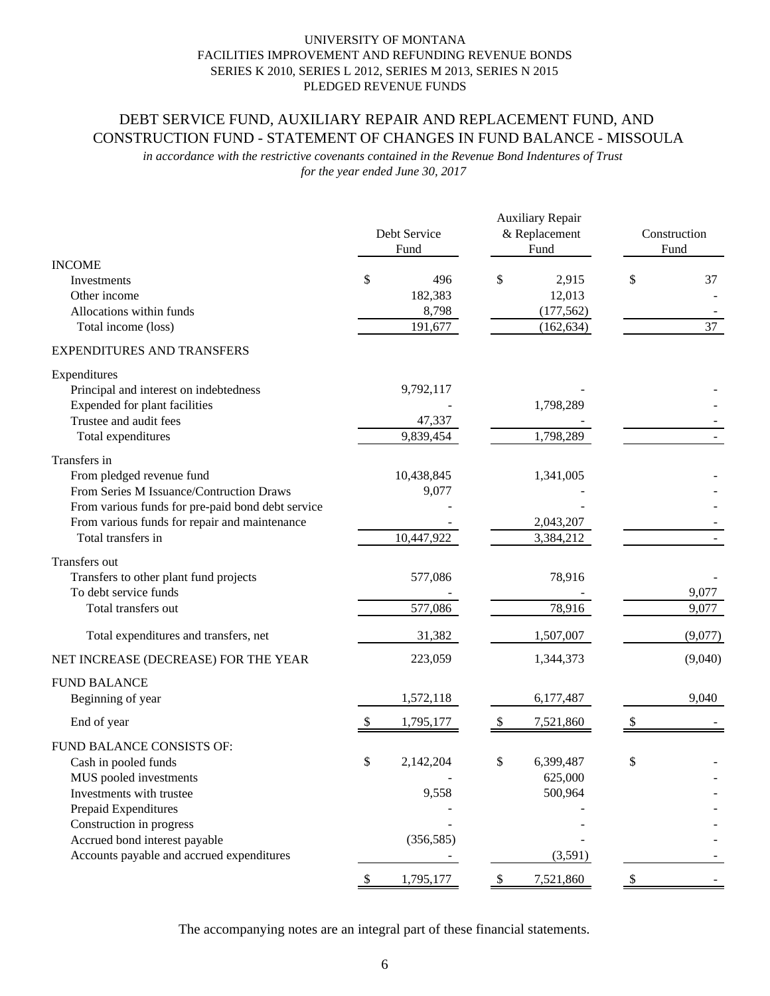# DEBT SERVICE FUND, AUXILIARY REPAIR AND REPLACEMENT FUND, AND CONSTRUCTION FUND - STATEMENT OF CHANGES IN FUND BALANCE - MISSOULA

*for the year ended June 30, 2017 in accordance with the restrictive covenants contained in the Revenue Bond Indentures of Trust*

|                                                                                                                                                                                                                                           | Debt Service<br>Fund                     |              | <b>Auxiliary Repair</b><br>& Replacement<br>Fund | Construction<br>Fund |
|-------------------------------------------------------------------------------------------------------------------------------------------------------------------------------------------------------------------------------------------|------------------------------------------|--------------|--------------------------------------------------|----------------------|
| <b>INCOME</b><br>Investments<br>Other income<br>Allocations within funds<br>Total income (loss)                                                                                                                                           | \$<br>496<br>182,383<br>8,798<br>191,677 | \$           | 2,915<br>12,013<br>(177, 562)<br>(162, 634)      | \$<br>37<br>37       |
| <b>EXPENDITURES AND TRANSFERS</b>                                                                                                                                                                                                         |                                          |              |                                                  |                      |
| Expenditures<br>Principal and interest on indebtedness<br>Expended for plant facilities<br>Trustee and audit fees<br>Total expenditures                                                                                                   | 9,792,117<br>47,337<br>9,839,454         |              | 1,798,289<br>1,798,289                           |                      |
| Transfers in<br>From pledged revenue fund<br>From Series M Issuance/Contruction Draws<br>From various funds for pre-paid bond debt service<br>From various funds for repair and maintenance<br>Total transfers in                         | 10,438,845<br>9,077<br>10,447,922        |              | 1,341,005<br>2,043,207<br>3,384,212              |                      |
| Transfers out<br>Transfers to other plant fund projects<br>To debt service funds<br>Total transfers out                                                                                                                                   | 577,086<br>577,086                       |              | 78,916<br>78,916                                 | 9,077<br>9,077       |
| Total expenditures and transfers, net                                                                                                                                                                                                     | 31,382                                   |              | 1,507,007                                        | (9,077)              |
| NET INCREASE (DECREASE) FOR THE YEAR                                                                                                                                                                                                      | 223,059                                  |              | 1,344,373                                        | (9,040)              |
| <b>FUND BALANCE</b><br>Beginning of year<br>End of year                                                                                                                                                                                   | 1,572,118<br>1,795,177                   | \$           | 6,177,487<br>7,521,860                           | 9,040                |
| FUND BALANCE CONSISTS OF:<br>Cash in pooled funds<br>MUS pooled investments<br>Investments with trustee<br>Prepaid Expenditures<br>Construction in progress<br>Accrued bond interest payable<br>Accounts payable and accrued expenditures | \$<br>2,142,204<br>9,558<br>(356, 585)   | \$           | 6,399,487<br>625,000<br>500,964<br>(3,591)       | \$                   |
|                                                                                                                                                                                                                                           | \$<br>1,795,177                          | $\mathbb{S}$ | 7,521,860                                        | \$                   |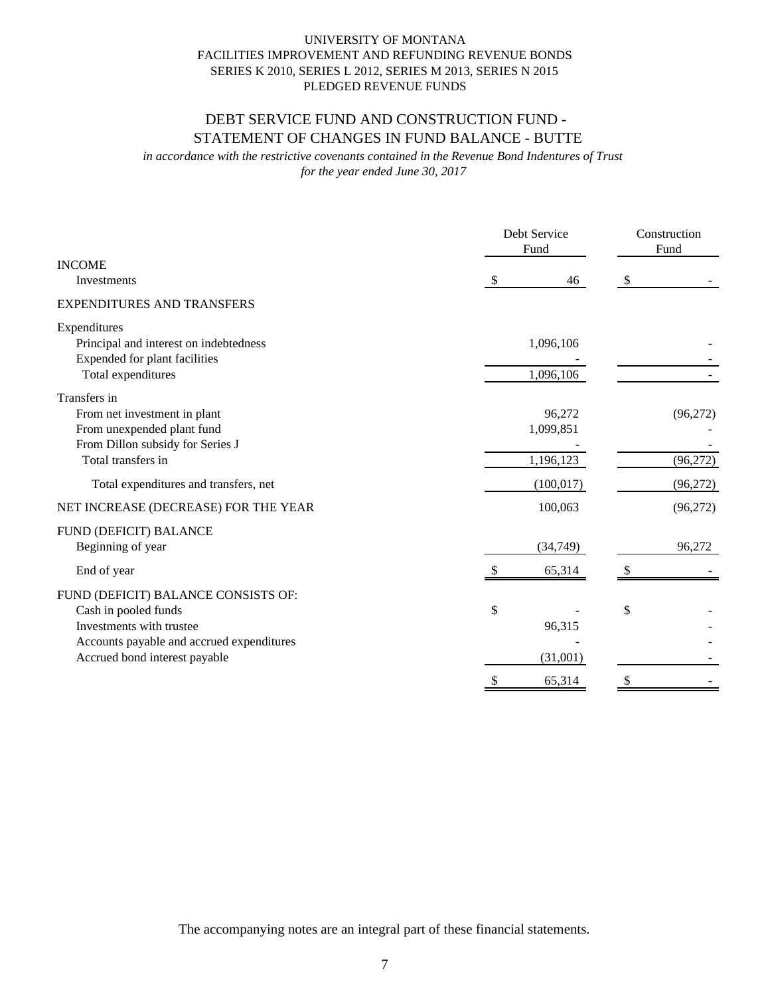# DEBT SERVICE FUND AND CONSTRUCTION FUND - STATEMENT OF CHANGES IN FUND BALANCE - BUTTE

*for the year ended June 30, 2017 in accordance with the restrictive covenants contained in the Revenue Bond Indentures of Trust*

|                                           | Debt Service<br>Fund |    | Construction<br>Fund |
|-------------------------------------------|----------------------|----|----------------------|
| <b>INCOME</b>                             |                      |    |                      |
| Investments                               | 46<br>\$             | \$ |                      |
| <b>EXPENDITURES AND TRANSFERS</b>         |                      |    |                      |
| Expenditures                              |                      |    |                      |
| Principal and interest on indebtedness    | 1,096,106            |    |                      |
| Expended for plant facilities             |                      |    |                      |
| Total expenditures                        | 1,096,106            |    |                      |
| Transfers in                              |                      |    |                      |
| From net investment in plant              | 96,272               |    | (96, 272)            |
| From unexpended plant fund                | 1,099,851            |    |                      |
| From Dillon subsidy for Series J          |                      |    |                      |
| Total transfers in                        | 1,196,123            |    | (96, 272)            |
| Total expenditures and transfers, net     | (100, 017)           |    | (96,272)             |
| NET INCREASE (DECREASE) FOR THE YEAR      | 100,063              |    | (96,272)             |
| FUND (DEFICIT) BALANCE                    |                      |    |                      |
| Beginning of year                         | (34, 749)            |    | 96,272               |
| End of year                               | 65,314               | -S |                      |
| FUND (DEFICIT) BALANCE CONSISTS OF:       |                      |    |                      |
| Cash in pooled funds                      | \$                   | \$ |                      |
| Investments with trustee                  | 96,315               |    |                      |
| Accounts payable and accrued expenditures |                      |    |                      |
| Accrued bond interest payable             | (31,001)             |    |                      |
|                                           | 65,314<br>\$         | \$ |                      |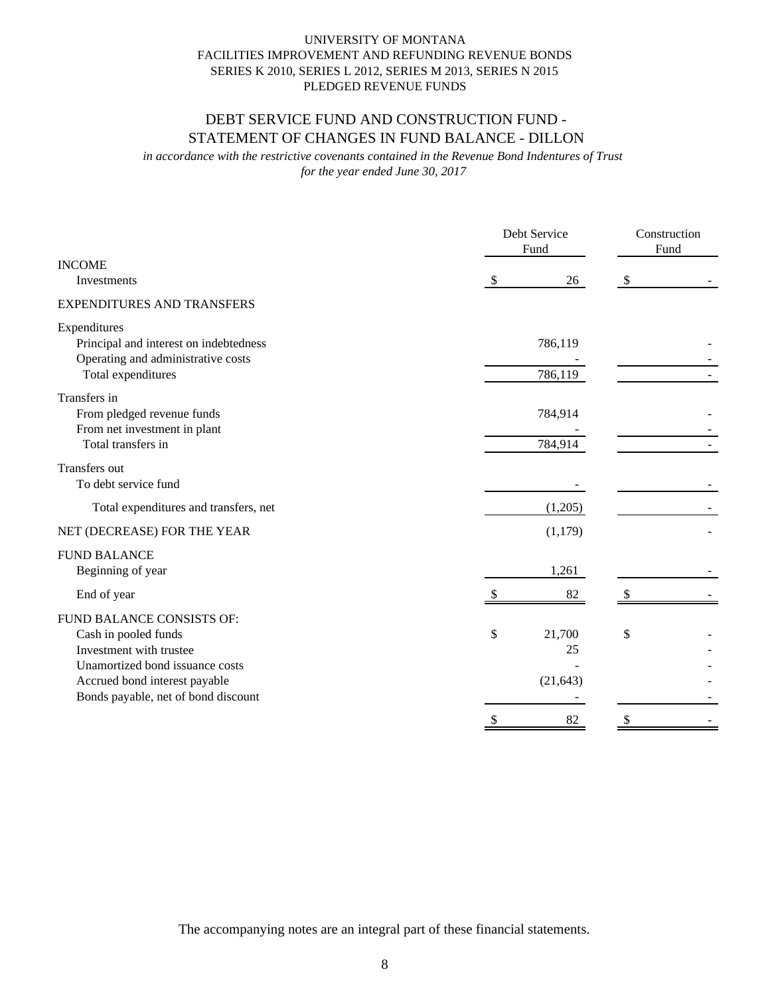# DEBT SERVICE FUND AND CONSTRUCTION FUND - STATEMENT OF CHANGES IN FUND BALANCE - DILLON

*for the year ended June 30, 2017 in accordance with the restrictive covenants contained in the Revenue Bond Indentures of Trust*

|                                                                                                                                                                                         | Debt Service<br>Fund            | Construction<br>Fund |
|-----------------------------------------------------------------------------------------------------------------------------------------------------------------------------------------|---------------------------------|----------------------|
| <b>INCOME</b><br>Investments                                                                                                                                                            | 26<br>\$                        | \$                   |
| <b>EXPENDITURES AND TRANSFERS</b>                                                                                                                                                       |                                 |                      |
| Expenditures<br>Principal and interest on indebtedness<br>Operating and administrative costs<br>Total expenditures                                                                      | 786,119<br>786,119              |                      |
| Transfers in<br>From pledged revenue funds<br>From net investment in plant<br>Total transfers in                                                                                        | 784,914<br>784,914              |                      |
| Transfers out<br>To debt service fund                                                                                                                                                   |                                 |                      |
| Total expenditures and transfers, net                                                                                                                                                   | (1,205)                         |                      |
| NET (DECREASE) FOR THE YEAR                                                                                                                                                             | (1,179)                         |                      |
| <b>FUND BALANCE</b><br>Beginning of year                                                                                                                                                | 1,261                           |                      |
| End of year                                                                                                                                                                             | 82                              |                      |
| FUND BALANCE CONSISTS OF:<br>Cash in pooled funds<br>Investment with trustee<br>Unamortized bond issuance costs<br>Accrued bond interest payable<br>Bonds payable, net of bond discount | \$<br>21,700<br>25<br>(21, 643) | \$                   |
|                                                                                                                                                                                         | \$<br>82                        | \$                   |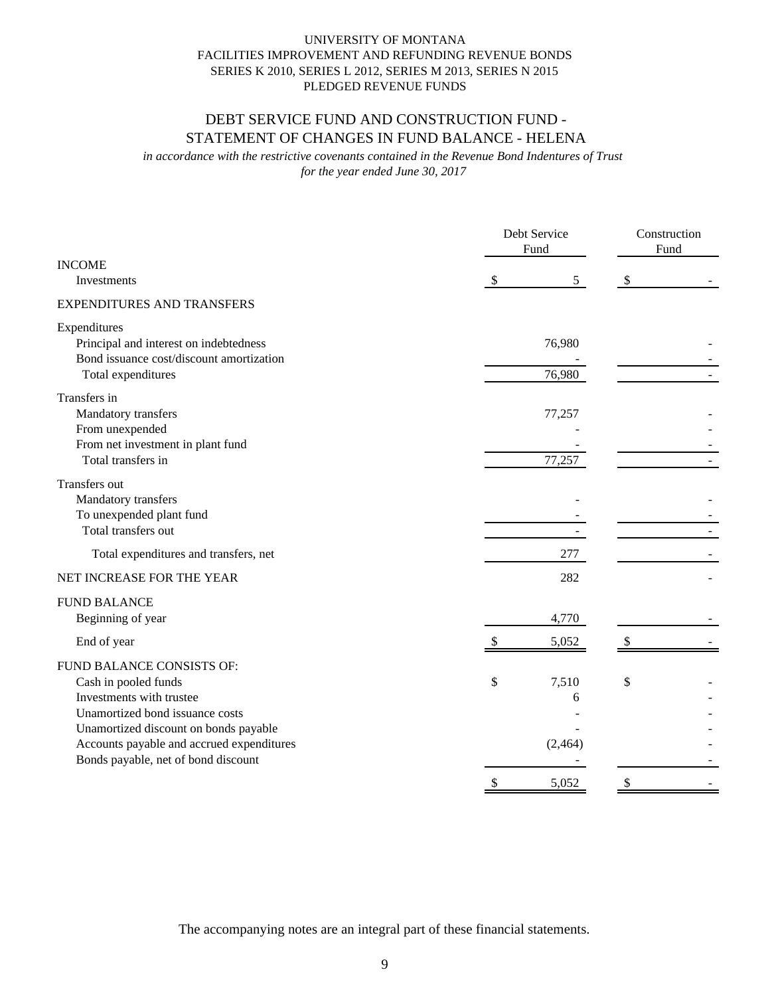# DEBT SERVICE FUND AND CONSTRUCTION FUND - STATEMENT OF CHANGES IN FUND BALANCE - HELENA

*for the year ended June 30, 2017 in accordance with the restrictive covenants contained in the Revenue Bond Indentures of Trust*

|                                                                                                                                                                                                                                               |                           | Debt Service<br>Fund   |                           |  |
|-----------------------------------------------------------------------------------------------------------------------------------------------------------------------------------------------------------------------------------------------|---------------------------|------------------------|---------------------------|--|
| <b>INCOME</b><br>Investments                                                                                                                                                                                                                  | $\mathcal{S}$             | 5 <sup>5</sup>         | $\boldsymbol{\mathsf{S}}$ |  |
| <b>EXPENDITURES AND TRANSFERS</b>                                                                                                                                                                                                             |                           |                        |                           |  |
| Expenditures<br>Principal and interest on indebtedness<br>Bond issuance cost/discount amortization<br>Total expenditures                                                                                                                      |                           | 76,980<br>76,980       |                           |  |
| Transfers in<br>Mandatory transfers<br>From unexpended<br>From net investment in plant fund<br>Total transfers in                                                                                                                             |                           | 77,257<br>77,257       |                           |  |
| Transfers out<br>Mandatory transfers<br>To unexpended plant fund<br>Total transfers out                                                                                                                                                       |                           |                        |                           |  |
| Total expenditures and transfers, net                                                                                                                                                                                                         |                           | 277                    |                           |  |
| NET INCREASE FOR THE YEAR                                                                                                                                                                                                                     |                           | 282                    |                           |  |
| <b>FUND BALANCE</b><br>Beginning of year                                                                                                                                                                                                      |                           | 4,770                  |                           |  |
| End of year                                                                                                                                                                                                                                   |                           | 5,052                  | \$                        |  |
| FUND BALANCE CONSISTS OF:<br>Cash in pooled funds<br>Investments with trustee<br>Unamortized bond issuance costs<br>Unamortized discount on bonds payable<br>Accounts payable and accrued expenditures<br>Bonds payable, net of bond discount | \$                        | 7,510<br>6<br>(2, 464) | \$                        |  |
|                                                                                                                                                                                                                                               | $\boldsymbol{\mathsf{S}}$ | 5,052                  | \$                        |  |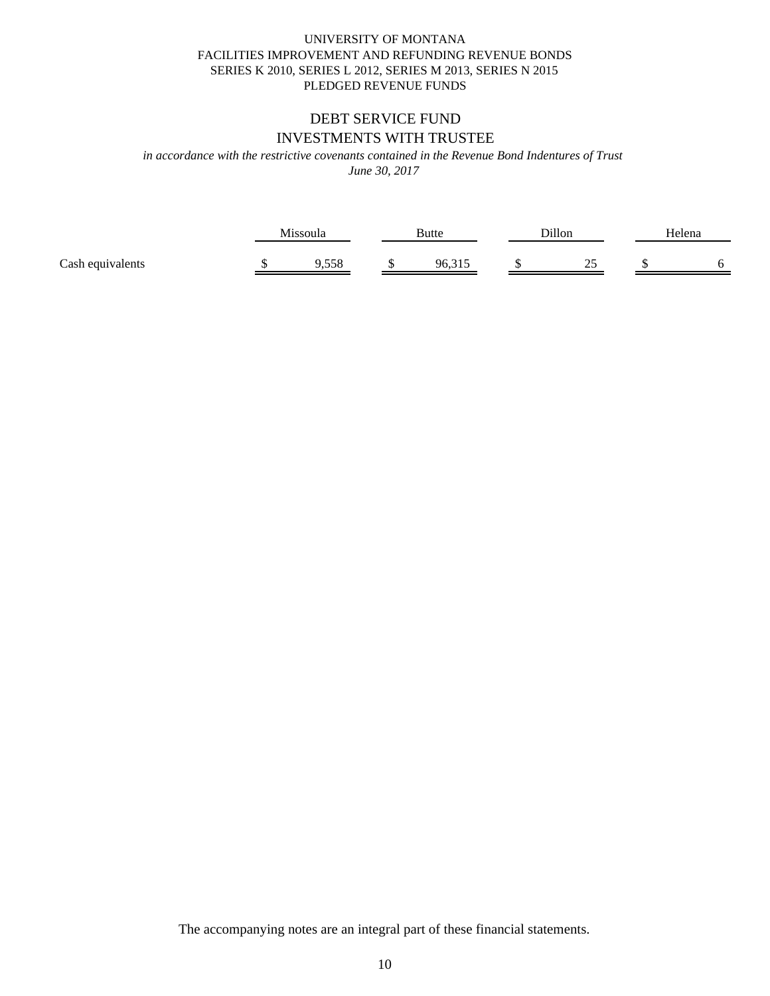# UNIVERSITY OF MONTANA PLEDGED REVENUE FUNDS SERIES K 2010, SERIES L 2012, SERIES M 2013, SERIES N 2015 FACILITIES IMPROVEMENT AND REFUNDING REVENUE BONDS

# INVESTMENTS WITH TRUSTEE DEBT SERVICE FUND

*in accordance with the restrictive covenants contained in the Revenue Bond Indentures of Trust*

*June 30, 2017*

|                  | Missoula     | <b>Butte</b> | Dillon  | Helena |
|------------------|--------------|--------------|---------|--------|
| Cash equivalents | 550<br>סככ.י | ۵٢<br>כונ.סי | ົ<br>سد |        |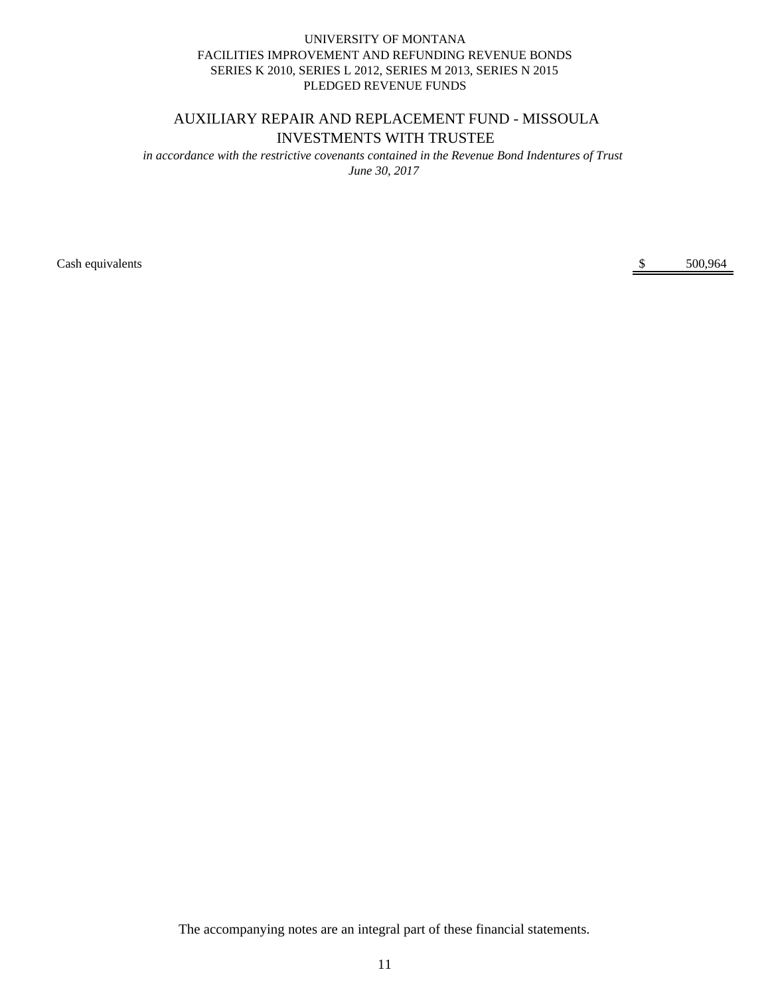# AUXILIARY REPAIR AND REPLACEMENT FUND - MISSOULA INVESTMENTS WITH TRUSTEE

*June 30, 2017 in accordance with the restrictive covenants contained in the Revenue Bond Indentures of Trust*

Cash equivalents \$ 500,964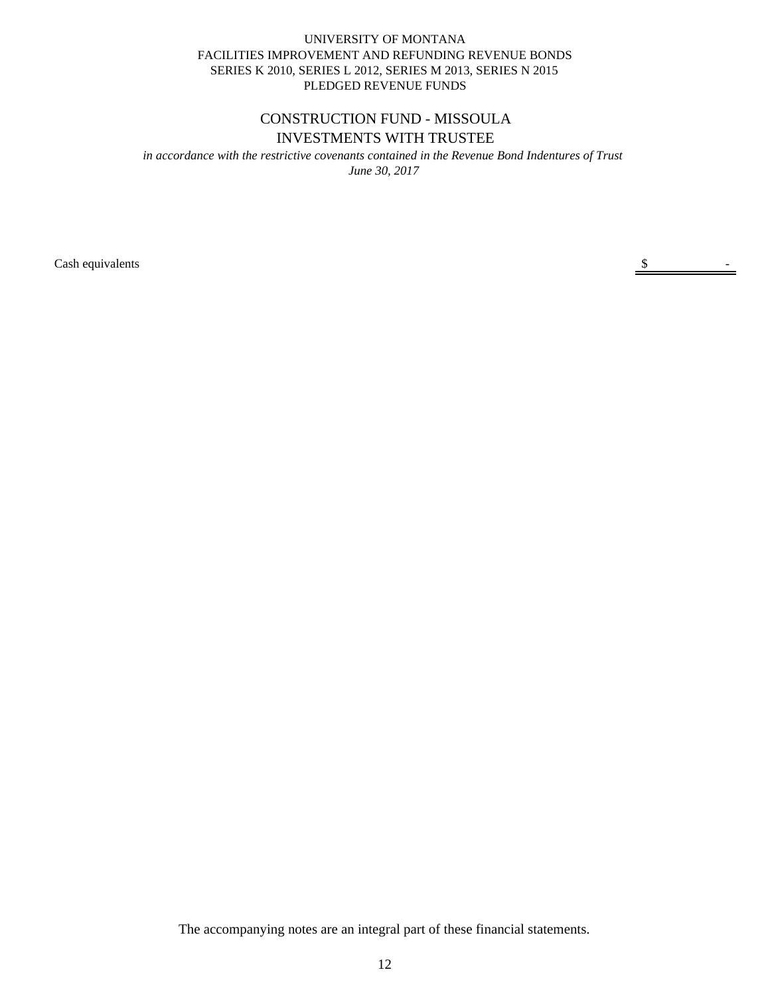# CONSTRUCTION FUND - MISSOULA INVESTMENTS WITH TRUSTEE

*June 30, 2017 in accordance with the restrictive covenants contained in the Revenue Bond Indentures of Trust*

Cash equivalents  $\frac{\$}{\$}$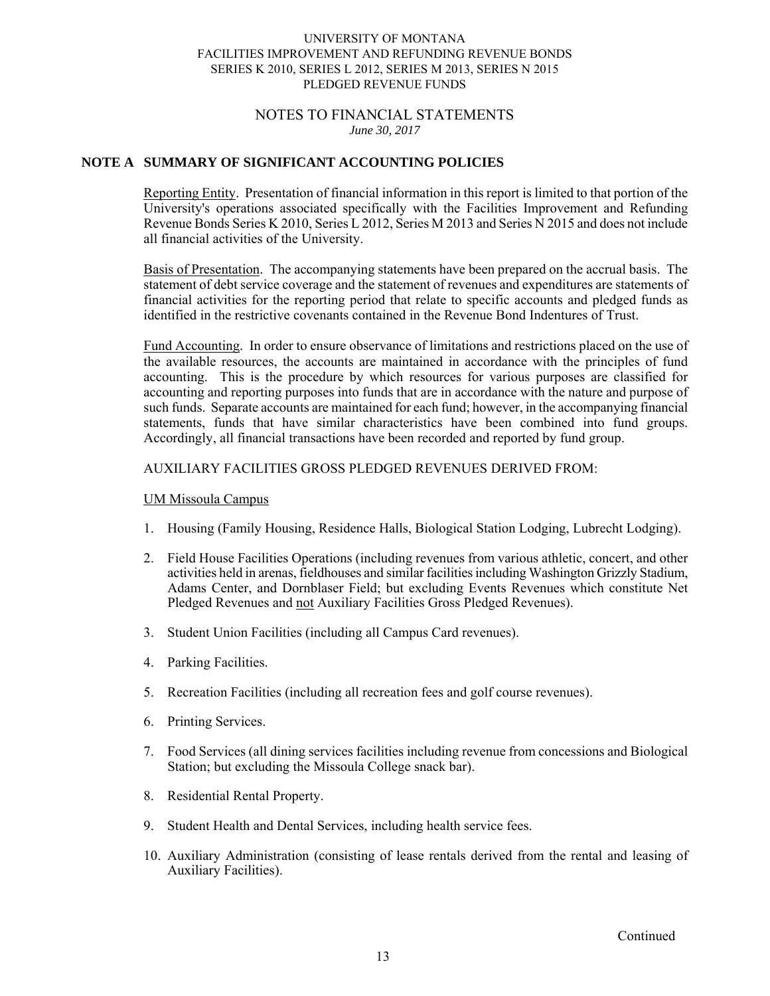# NOTES TO FINANCIAL STATEMENTS *June 30, 2017*

# **NOTE A SUMMARY OF SIGNIFICANT ACCOUNTING POLICIES**

Reporting Entity. Presentation of financial information in this report is limited to that portion of the University's operations associated specifically with the Facilities Improvement and Refunding Revenue Bonds Series K 2010, Series L 2012, Series M 2013 and Series N 2015 and does not include all financial activities of the University.

Basis of Presentation. The accompanying statements have been prepared on the accrual basis. The statement of debt service coverage and the statement of revenues and expenditures are statements of financial activities for the reporting period that relate to specific accounts and pledged funds as identified in the restrictive covenants contained in the Revenue Bond Indentures of Trust.

Fund Accounting. In order to ensure observance of limitations and restrictions placed on the use of the available resources, the accounts are maintained in accordance with the principles of fund accounting. This is the procedure by which resources for various purposes are classified for accounting and reporting purposes into funds that are in accordance with the nature and purpose of such funds. Separate accounts are maintained for each fund; however, in the accompanying financial statements, funds that have similar characteristics have been combined into fund groups. Accordingly, all financial transactions have been recorded and reported by fund group.

## AUXILIARY FACILITIES GROSS PLEDGED REVENUES DERIVED FROM:

#### UM Missoula Campus

- 1. Housing (Family Housing, Residence Halls, Biological Station Lodging, Lubrecht Lodging).
- 2. Field House Facilities Operations (including revenues from various athletic, concert, and other activities held in arenas, fieldhouses and similar facilities including Washington Grizzly Stadium, Adams Center, and Dornblaser Field; but excluding Events Revenues which constitute Net Pledged Revenues and not Auxiliary Facilities Gross Pledged Revenues).
- 3. Student Union Facilities (including all Campus Card revenues).
- 4. Parking Facilities.
- 5. Recreation Facilities (including all recreation fees and golf course revenues).
- 6. Printing Services.
- 7. Food Services (all dining services facilities including revenue from concessions and Biological Station; but excluding the Missoula College snack bar).
- 8. Residential Rental Property.
- 9. Student Health and Dental Services, including health service fees.
- 10. Auxiliary Administration (consisting of lease rentals derived from the rental and leasing of Auxiliary Facilities).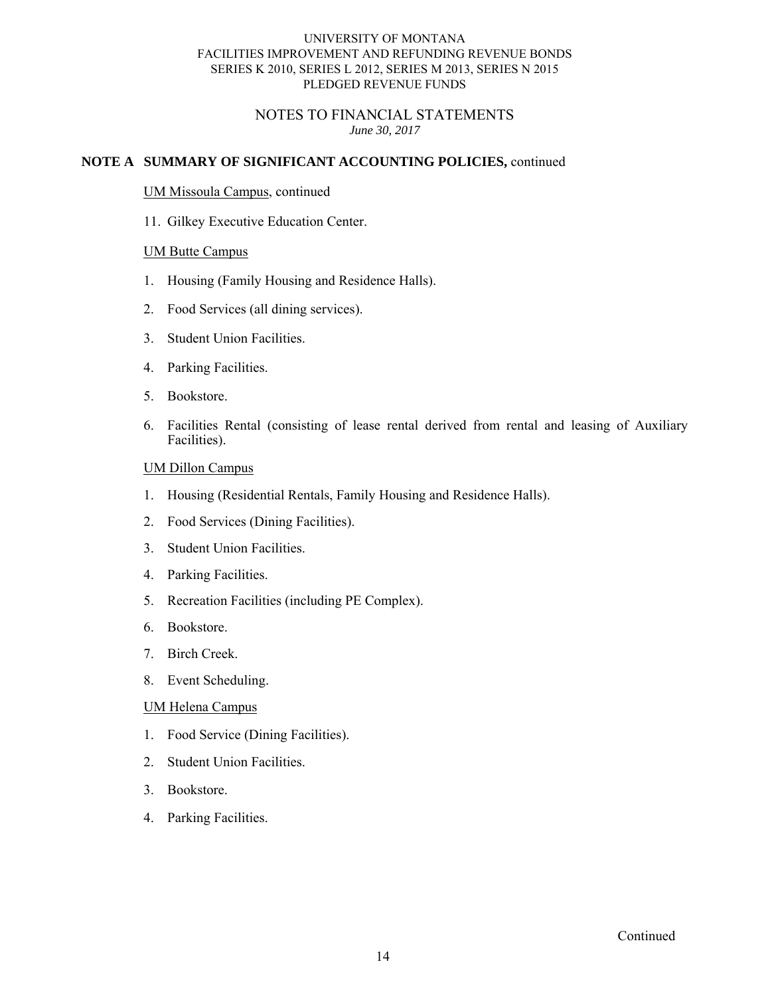# NOTES TO FINANCIAL STATEMENTS *June 30, 2017*

# **NOTE A SUMMARY OF SIGNIFICANT ACCOUNTING POLICIES,** continued

#### UM Missoula Campus, continued

11. Gilkey Executive Education Center.

#### UM Butte Campus

- 1. Housing (Family Housing and Residence Halls).
- 2. Food Services (all dining services).
- 3. Student Union Facilities.
- 4. Parking Facilities.
- 5. Bookstore.
- 6. Facilities Rental (consisting of lease rental derived from rental and leasing of Auxiliary Facilities).

#### UM Dillon Campus

- 1. Housing (Residential Rentals, Family Housing and Residence Halls).
- 2. Food Services (Dining Facilities).
- 3. Student Union Facilities.
- 4. Parking Facilities.
- 5. Recreation Facilities (including PE Complex).
- 6. Bookstore.
- 7. Birch Creek.
- 8. Event Scheduling.

#### UM Helena Campus

- 1. Food Service (Dining Facilities).
- 2. Student Union Facilities.
- 3. Bookstore.
- 4. Parking Facilities.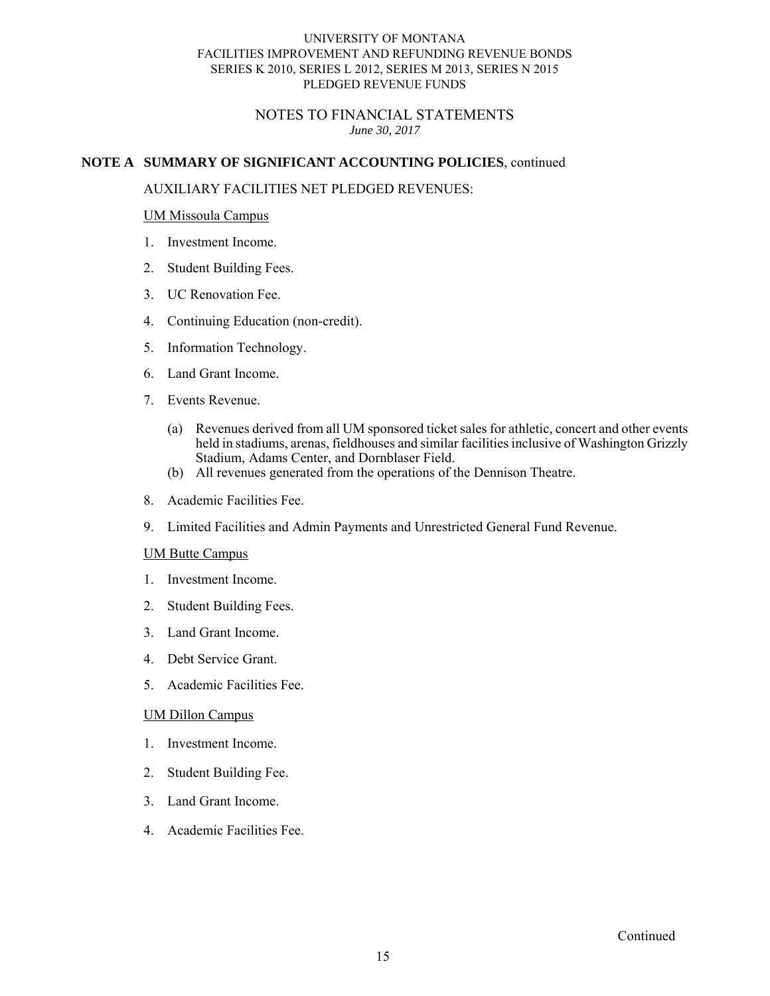# NOTES TO FINANCIAL STATEMENTS *June 30, 2017*

# **NOTE A SUMMARY OF SIGNIFICANT ACCOUNTING POLICIES**, continued

# AUXILIARY FACILITIES NET PLEDGED REVENUES:

## UM Missoula Campus

- 1. Investment Income.
- 2. Student Building Fees.
- 3. UC Renovation Fee.
- 4. Continuing Education (non-credit).
- 5. Information Technology.
- 6. Land Grant Income. 7. Events Revenue.
- - (a) Revenues derived from all UM sponsored ticket sales for athletic, concert and other events held in stadiums, arenas, fieldhouses and similar facilities inclusive of Washington Grizzly Stadium, Adams Center, and Dornblaser Field.
	- (b) All revenues generated from the operations of the Dennison Theatre.
- 8. Academic Facilities Fee.
- 9. Limited Facilities and Admin Payments and Unrestricted General Fund Revenue.

#### UM Butte Campus

- 1. Investment Income.
- 2. Student Building Fees.
- 3. Land Grant Income.
- 4. Debt Service Grant.
- 5. Academic Facilities Fee.

# UM Dillon Campus

- 1. Investment Income.
- 2. Student Building Fee.
- 3. Land Grant Income.
- 4. Academic Facilities Fee.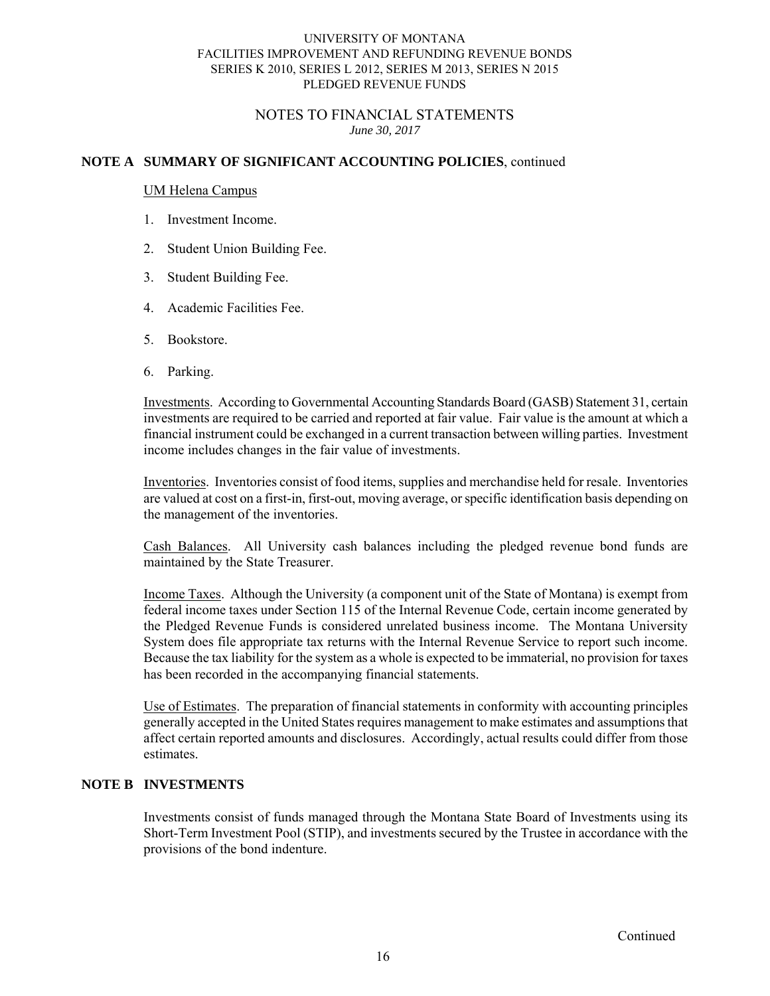# NOTES TO FINANCIAL STATEMENTS *June 30, 2017*

# **NOTE A SUMMARY OF SIGNIFICANT ACCOUNTING POLICIES**, continued

#### UM Helena Campus

- 1. Investment Income.
- 2. Student Union Building Fee.
- 3. Student Building Fee.
- 4. Academic Facilities Fee.
- 5. Bookstore.
- 6. Parking.

Investments. According to Governmental Accounting Standards Board (GASB) Statement 31, certain investments are required to be carried and reported at fair value. Fair value is the amount at which a financial instrument could be exchanged in a current transaction between willing parties. Investment income includes changes in the fair value of investments.

Inventories. Inventories consist of food items, supplies and merchandise held for resale. Inventories are valued at cost on a first-in, first-out, moving average, or specific identification basis depending on the management of the inventories.

Cash Balances. All University cash balances including the pledged revenue bond funds are maintained by the State Treasurer.

Income Taxes. Although the University (a component unit of the State of Montana) is exempt from federal income taxes under Section 115 of the Internal Revenue Code, certain income generated by the Pledged Revenue Funds is considered unrelated business income. The Montana University System does file appropriate tax returns with the Internal Revenue Service to report such income. Because the tax liability for the system as a whole is expected to be immaterial, no provision for taxes has been recorded in the accompanying financial statements.

Use of Estimates. The preparation of financial statements in conformity with accounting principles generally accepted in the United States requires management to make estimates and assumptions that affect certain reported amounts and disclosures. Accordingly, actual results could differ from those estimates.

# **NOTE B INVESTMENTS**

Investments consist of funds managed through the Montana State Board of Investments using its Short-Term Investment Pool (STIP), and investments secured by the Trustee in accordance with the provisions of the bond indenture.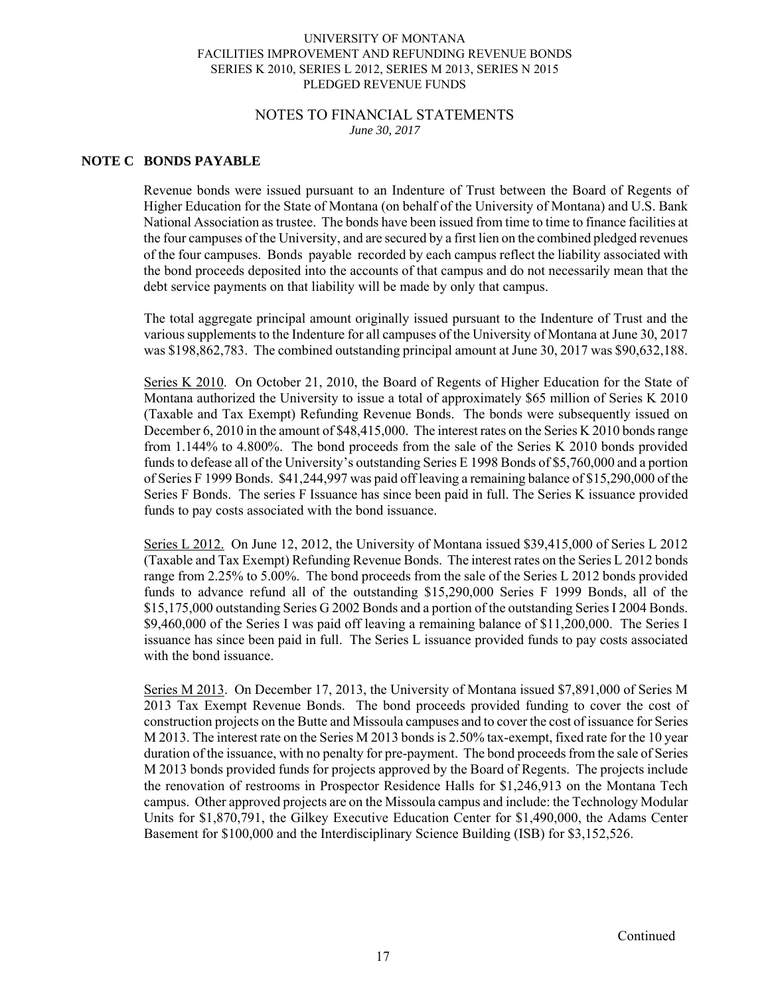## NOTES TO FINANCIAL STATEMENTS *June 30, 2017*

# **NOTE C BONDS PAYABLE**

Revenue bonds were issued pursuant to an Indenture of Trust between the Board of Regents of Higher Education for the State of Montana (on behalf of the University of Montana) and U.S. Bank National Association as trustee. The bonds have been issued from time to time to finance facilities at the four campuses of the University, and are secured by a first lien on the combined pledged revenues of the four campuses. Bonds payable recorded by each campus reflect the liability associated with the bond proceeds deposited into the accounts of that campus and do not necessarily mean that the debt service payments on that liability will be made by only that campus.

The total aggregate principal amount originally issued pursuant to the Indenture of Trust and the various supplements to the Indenture for all campuses of the University of Montana at June 30, 2017 was \$198,862,783. The combined outstanding principal amount at June 30, 2017 was \$90,632,188.

Series K 2010. On October 21, 2010, the Board of Regents of Higher Education for the State of Montana authorized the University to issue a total of approximately \$65 million of Series K 2010 (Taxable and Tax Exempt) Refunding Revenue Bonds. The bonds were subsequently issued on December 6, 2010 in the amount of \$48,415,000. The interest rates on the Series K 2010 bonds range from 1.144% to 4.800%. The bond proceeds from the sale of the Series K 2010 bonds provided funds to defease all of the University's outstanding Series E 1998 Bonds of \$5,760,000 and a portion of Series F 1999 Bonds. \$41,244,997 was paid off leaving a remaining balance of \$15,290,000 of the Series F Bonds. The series F Issuance has since been paid in full. The Series K issuance provided funds to pay costs associated with the bond issuance.

Series L 2012. On June 12, 2012, the University of Montana issued \$39,415,000 of Series L 2012 (Taxable and Tax Exempt) Refunding Revenue Bonds. The interest rates on the Series L 2012 bonds range from 2.25% to 5.00%. The bond proceeds from the sale of the Series L 2012 bonds provided funds to advance refund all of the outstanding \$15,290,000 Series F 1999 Bonds, all of the \$15,175,000 outstanding Series G 2002 Bonds and a portion of the outstanding Series I 2004 Bonds. \$9,460,000 of the Series I was paid off leaving a remaining balance of \$11,200,000. The Series I issuance has since been paid in full. The Series L issuance provided funds to pay costs associated with the bond issuance.

Series M 2013. On December 17, 2013, the University of Montana issued \$7,891,000 of Series M 2013 Tax Exempt Revenue Bonds. The bond proceeds provided funding to cover the cost of construction projects on the Butte and Missoula campuses and to cover the cost of issuance for Series M 2013. The interest rate on the Series M 2013 bonds is 2.50% tax-exempt, fixed rate for the 10 year duration of the issuance, with no penalty for pre-payment. The bond proceeds from the sale of Series M 2013 bonds provided funds for projects approved by the Board of Regents. The projects include the renovation of restrooms in Prospector Residence Halls for \$1,246,913 on the Montana Tech campus. Other approved projects are on the Missoula campus and include: the Technology Modular Units for \$1,870,791, the Gilkey Executive Education Center for \$1,490,000, the Adams Center Basement for \$100,000 and the Interdisciplinary Science Building (ISB) for \$3,152,526.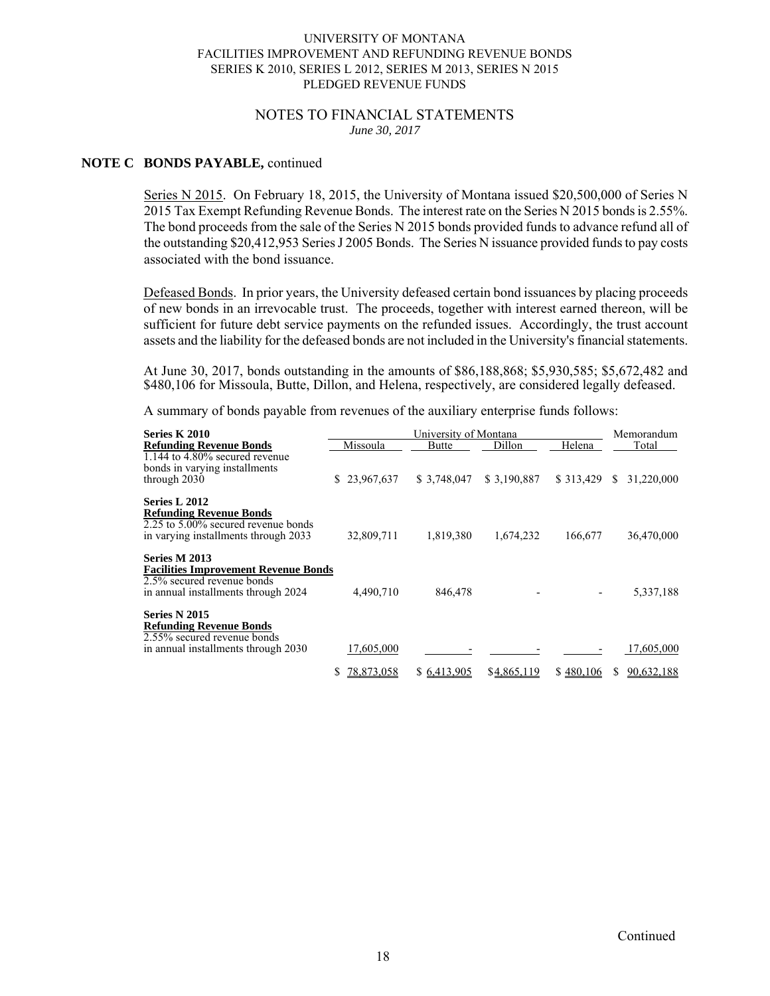#### NOTES TO FINANCIAL STATEMENTS *June 30, 2017*

#### **NOTE C BONDS PAYABLE,** continued

Series N 2015. On February 18, 2015, the University of Montana issued \$20,500,000 of Series N 2015 Tax Exempt Refunding Revenue Bonds. The interest rate on the Series N 2015 bonds is 2.55%. The bond proceeds from the sale of the Series N 2015 bonds provided funds to advance refund all of the outstanding \$20,412,953 Series J 2005 Bonds. The Series N issuance provided funds to pay costs associated with the bond issuance.

Defeased Bonds. In prior years, the University defeased certain bond issuances by placing proceeds of new bonds in an irrevocable trust. The proceeds, together with interest earned thereon, will be sufficient for future debt service payments on the refunded issues. Accordingly, the trust account assets and the liability for the defeased bonds are not included in the University's financial statements.

At June 30, 2017, bonds outstanding in the amounts of \$86,188,868; \$5,930,585; \$5,672,482 and \$480,106 for Missoula, Butte, Dillon, and Helena, respectively, are considered legally defeased.

A summary of bonds payable from revenues of the auxiliary enterprise funds follows:

| Series K 2010                                                                                                    |                 | University of Montana |             |            | Memorandum                 |
|------------------------------------------------------------------------------------------------------------------|-----------------|-----------------------|-------------|------------|----------------------------|
| <b>Refunding Revenue Bonds</b>                                                                                   | Missoula        | Butte                 | Dillon      | Helena     | Total                      |
| $1.144$ to $4.80\%$ secured revenue<br>bonds in varying installments<br>through 2030                             | \$23,967,637    | \$3,748,047           | \$3,190,887 | \$ 313,429 | 31,220,000<br><sup>S</sup> |
| Series L 2012                                                                                                    |                 |                       |             |            |                            |
| <b>Refunding Revenue Bonds</b><br>2.25 to 5.00% secured revenue bonds<br>in varying installments through 2033    | 32,809,711      | 1,819,380             | 1,674,232   | 166,677    | 36,470,000                 |
| <b>Series M 2013</b>                                                                                             |                 |                       |             |            |                            |
| <b>Facilities Improvement Revenue Bonds</b><br>2.5% secured revenue bonds<br>in annual installments through 2024 | 4,490,710       | 846,478               |             |            | 5,337,188                  |
| <b>Series N 2015</b>                                                                                             |                 |                       |             |            |                            |
| <b>Refunding Revenue Bonds</b><br>2.55% secured revenue bonds                                                    |                 |                       |             |            |                            |
| in annual installments through 2030                                                                              | 17,605,000      |                       |             |            | 17,605,000                 |
|                                                                                                                  | 78,873,058<br>S | \$6,413,905           | \$4,865,119 | \$480,106  | 90,632,188                 |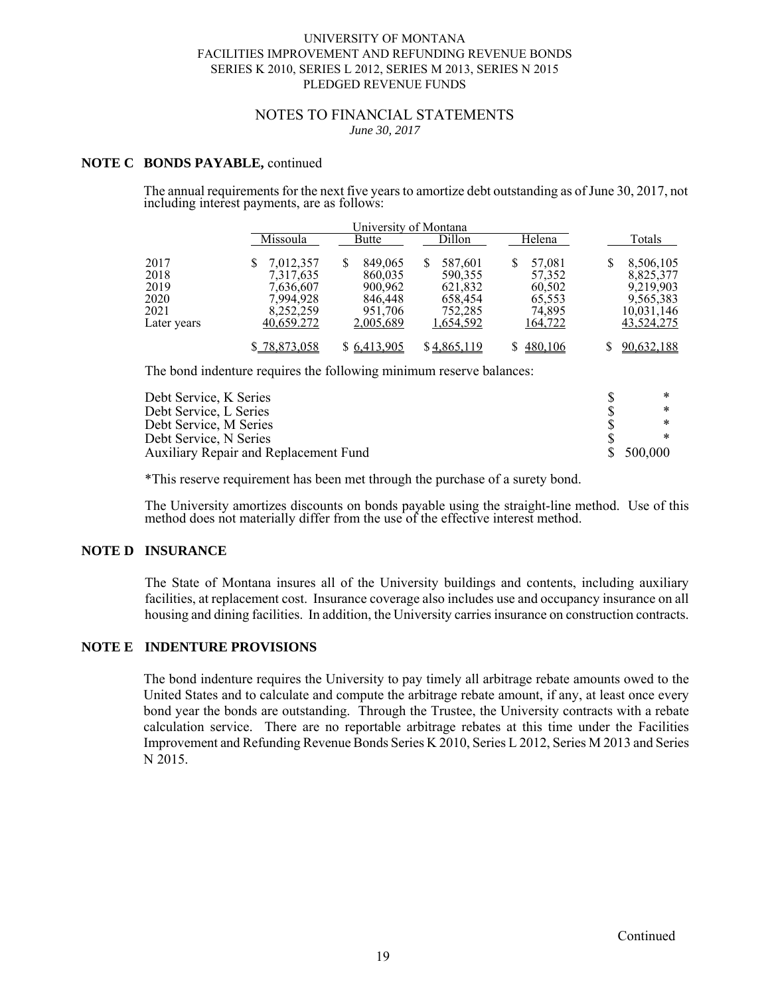#### NOTES TO FINANCIAL STATEMENTS *June 30, 2017*

#### **NOTE C BONDS PAYABLE,** continued

The annual requirements for the next five years to amortize debt outstanding as of June 30, 2017, not including interest payments, are as follows:

|                                                     |                                                                             | University of Montana                                                 |                                                                  |                                                           |                                                                              |
|-----------------------------------------------------|-----------------------------------------------------------------------------|-----------------------------------------------------------------------|------------------------------------------------------------------|-----------------------------------------------------------|------------------------------------------------------------------------------|
|                                                     | Missoula                                                                    | Butte                                                                 | Dillon                                                           | Helena                                                    | Totals                                                                       |
| 2017<br>2018<br>2019<br>2020<br>2021<br>Later years | 7.012.357<br>7,317,635<br>7,636,607<br>7.994.928<br>8,252,259<br>40,659.272 | 849,065<br>S<br>860,035<br>900,962<br>846,448<br>951,706<br>2,005,689 | 587,601<br>590,355<br>621,832<br>658,454<br>752,285<br>1,654,592 | 57,081<br>57,352<br>60,502<br>65,553<br>74,895<br>164,722 | 8,506,105<br>8,825,377<br>9,219,903<br>9,565,383<br>10,031,146<br>43,524,275 |
|                                                     | \$78,873,058                                                                | \$ 6,413,905                                                          | \$4,865,119                                                      | \$480,106                                                 | 90,632,188                                                                   |

The bond indenture requires the following minimum reserve balances:

| Debt Service, K Series                       |           |
|----------------------------------------------|-----------|
| Debt Service, L Series                       |           |
| Debt Service, M Series                       |           |
| Debt Service, N Series                       |           |
| <b>Auxiliary Repair and Replacement Fund</b> | \$500,000 |

\*This reserve requirement has been met through the purchase of a surety bond.

The University amortizes discounts on bonds payable using the straight-line method. Use of this method does not materially differ from the use of the effective interest method.

#### **NOTE D INSURANCE**

The State of Montana insures all of the University buildings and contents, including auxiliary facilities, at replacement cost. Insurance coverage also includes use and occupancy insurance on all housing and dining facilities. In addition, the University carries insurance on construction contracts.

# **NOTE E INDENTURE PROVISIONS**

The bond indenture requires the University to pay timely all arbitrage rebate amounts owed to the United States and to calculate and compute the arbitrage rebate amount, if any, at least once every bond year the bonds are outstanding. Through the Trustee, the University contracts with a rebate calculation service. There are no reportable arbitrage rebates at this time under the Facilities Improvement and Refunding Revenue Bonds Series K 2010, Series L 2012, Series M 2013 and Series N 2015.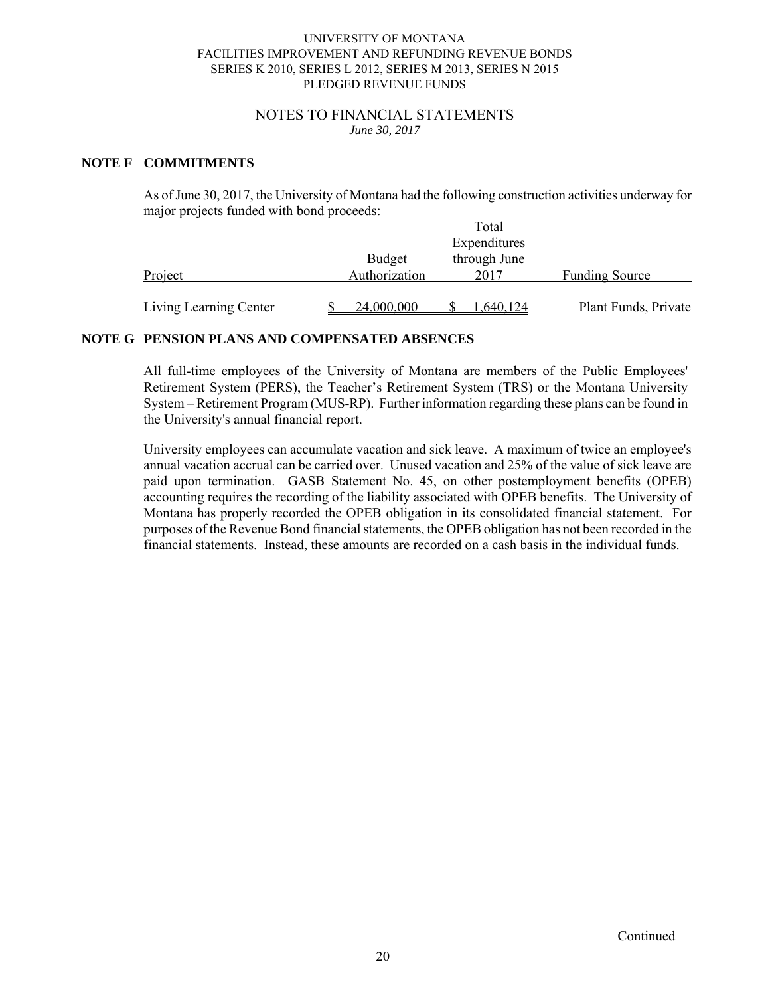#### NOTES TO FINANCIAL STATEMENTS *June 30, 2017*

# **NOTE F COMMITMENTS**

As of June 30, 2017, the University of Montana had the following construction activities underway for major projects funded with bond proceeds:

|                        |               | Total        |                       |
|------------------------|---------------|--------------|-----------------------|
|                        |               | Expenditures |                       |
|                        | <b>Budget</b> | through June |                       |
| Project                | Authorization | 2017         | <b>Funding Source</b> |
|                        |               |              |                       |
| Living Learning Center | 24,000,000    | .640.124     | Plant Funds, Private  |

## **NOTE G PENSION PLANS AND COMPENSATED ABSENCES**

All full-time employees of the University of Montana are members of the Public Employees' Retirement System (PERS), the Teacher's Retirement System (TRS) or the Montana University System – Retirement Program (MUS-RP). Further information regarding these plans can be found in the University's annual financial report.

University employees can accumulate vacation and sick leave. A maximum of twice an employee's annual vacation accrual can be carried over. Unused vacation and 25% of the value of sick leave are paid upon termination. GASB Statement No. 45, on other postemployment benefits (OPEB) accounting requires the recording of the liability associated with OPEB benefits. The University of Montana has properly recorded the OPEB obligation in its consolidated financial statement. For purposes of the Revenue Bond financial statements, the OPEB obligation has not been recorded in the financial statements. Instead, these amounts are recorded on a cash basis in the individual funds.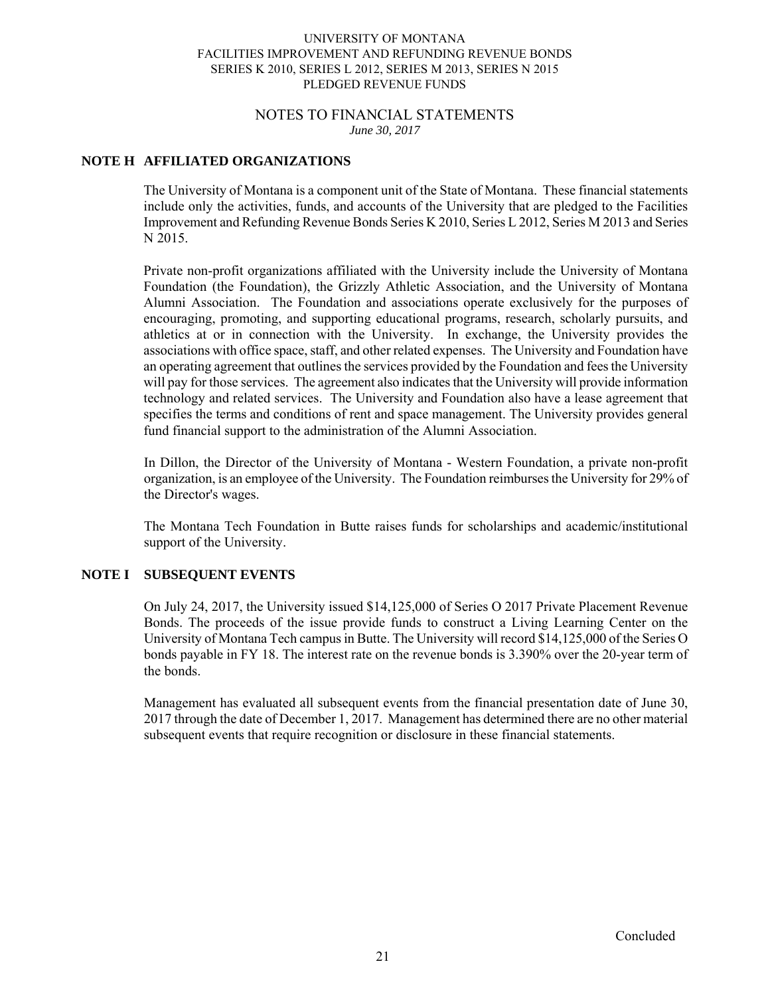#### NOTES TO FINANCIAL STATEMENTS *June 30, 2017*

# **NOTE H AFFILIATED ORGANIZATIONS**

The University of Montana is a component unit of the State of Montana. These financial statements include only the activities, funds, and accounts of the University that are pledged to the Facilities Improvement and Refunding Revenue Bonds Series K 2010, Series L 2012, Series M 2013 and Series N 2015.

Private non-profit organizations affiliated with the University include the University of Montana Foundation (the Foundation), the Grizzly Athletic Association, and the University of Montana Alumni Association. The Foundation and associations operate exclusively for the purposes of encouraging, promoting, and supporting educational programs, research, scholarly pursuits, and athletics at or in connection with the University. In exchange, the University provides the associations with office space, staff, and other related expenses. The University and Foundation have an operating agreement that outlines the services provided by the Foundation and fees the University will pay for those services. The agreement also indicates that the University will provide information technology and related services. The University and Foundation also have a lease agreement that specifies the terms and conditions of rent and space management. The University provides general fund financial support to the administration of the Alumni Association.

In Dillon, the Director of the University of Montana - Western Foundation, a private non-profit organization, is an employee of the University. The Foundation reimburses the University for 29% of the Director's wages.

The Montana Tech Foundation in Butte raises funds for scholarships and academic/institutional support of the University.

# **NOTE I SUBSEQUENT EVENTS**

On July 24, 2017, the University issued \$14,125,000 of Series O 2017 Private Placement Revenue Bonds. The proceeds of the issue provide funds to construct a Living Learning Center on the University of Montana Tech campus in Butte. The University will record \$14,125,000 of the Series O bonds payable in FY 18. The interest rate on the revenue bonds is 3.390% over the 20-year term of the bonds.

Management has evaluated all subsequent events from the financial presentation date of June 30, 2017 through the date of December 1, 2017. Management has determined there are no other material subsequent events that require recognition or disclosure in these financial statements.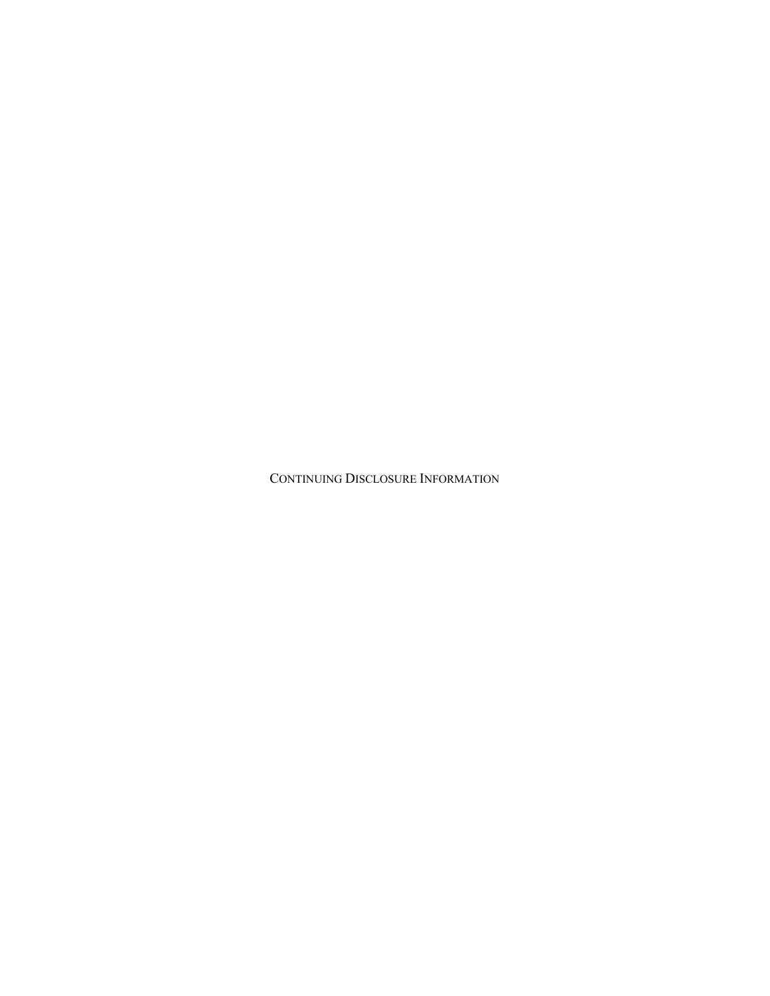CONTINUING DISCLOSURE INFORMATION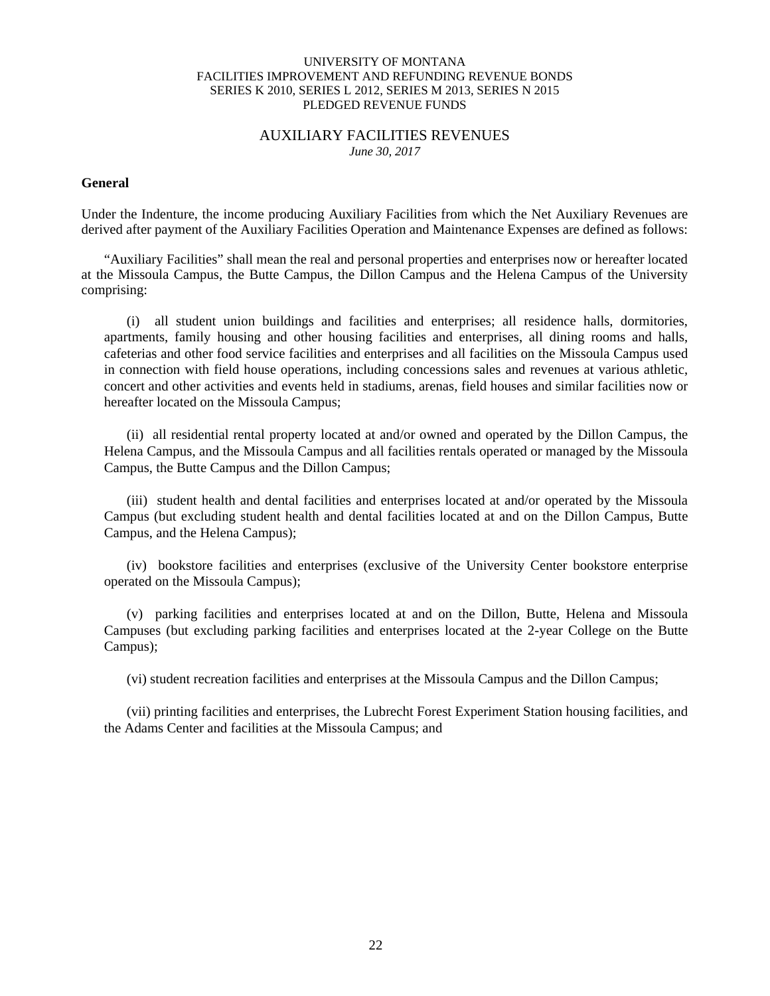#### AUXILIARY FACILITIES REVENUES *June 30, 2017*

#### **General**

Under the Indenture, the income producing Auxiliary Facilities from which the Net Auxiliary Revenues are derived after payment of the Auxiliary Facilities Operation and Maintenance Expenses are defined as follows:

"Auxiliary Facilities" shall mean the real and personal properties and enterprises now or hereafter located at the Missoula Campus, the Butte Campus, the Dillon Campus and the Helena Campus of the University comprising:

(i) all student union buildings and facilities and enterprises; all residence halls, dormitories, apartments, family housing and other housing facilities and enterprises, all dining rooms and halls, cafeterias and other food service facilities and enterprises and all facilities on the Missoula Campus used in connection with field house operations, including concessions sales and revenues at various athletic, concert and other activities and events held in stadiums, arenas, field houses and similar facilities now or hereafter located on the Missoula Campus;

(ii) all residential rental property located at and/or owned and operated by the Dillon Campus, the Helena Campus, and the Missoula Campus and all facilities rentals operated or managed by the Missoula Campus, the Butte Campus and the Dillon Campus;

(iii) student health and dental facilities and enterprises located at and/or operated by the Missoula Campus (but excluding student health and dental facilities located at and on the Dillon Campus, Butte Campus, and the Helena Campus);

(iv) bookstore facilities and enterprises (exclusive of the University Center bookstore enterprise operated on the Missoula Campus);

(v) parking facilities and enterprises located at and on the Dillon, Butte, Helena and Missoula Campuses (but excluding parking facilities and enterprises located at the 2-year College on the Butte Campus);

(vi) student recreation facilities and enterprises at the Missoula Campus and the Dillon Campus;

(vii) printing facilities and enterprises, the Lubrecht Forest Experiment Station housing facilities, and the Adams Center and facilities at the Missoula Campus; and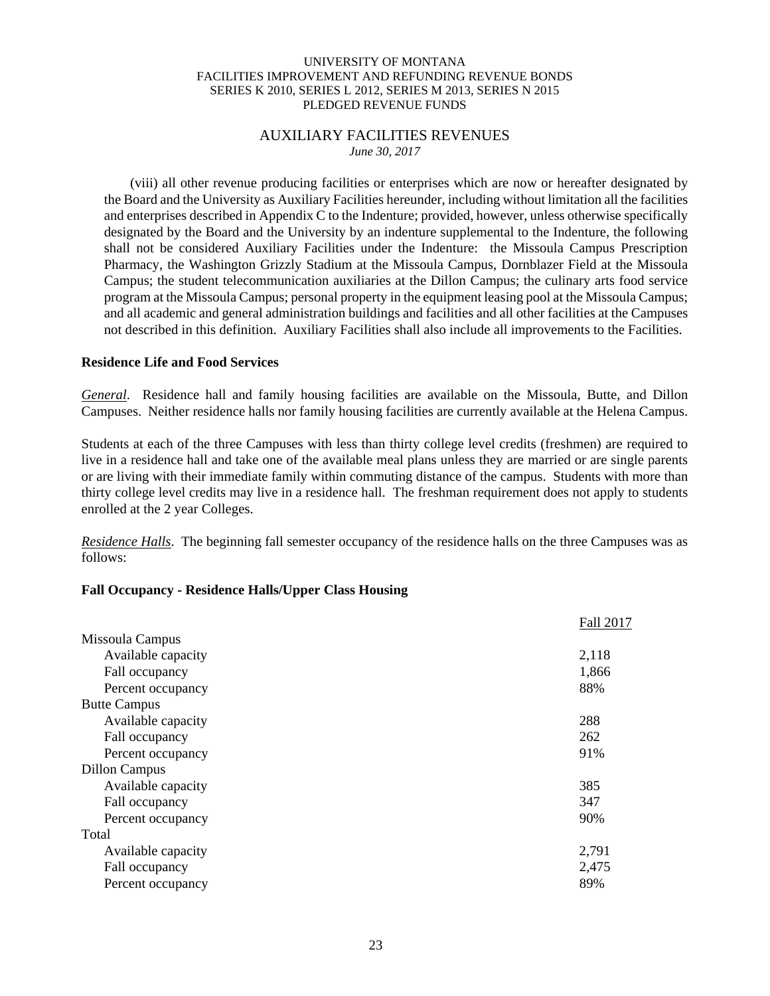# AUXILIARY FACILITIES REVENUES *June 30, 2017*

 (viii) all other revenue producing facilities or enterprises which are now or hereafter designated by the Board and the University as Auxiliary Facilities hereunder, including without limitation all the facilities and enterprises described in Appendix C to the Indenture; provided, however, unless otherwise specifically designated by the Board and the University by an indenture supplemental to the Indenture, the following shall not be considered Auxiliary Facilities under the Indenture: the Missoula Campus Prescription Pharmacy, the Washington Grizzly Stadium at the Missoula Campus, Dornblazer Field at the Missoula Campus; the student telecommunication auxiliaries at the Dillon Campus; the culinary arts food service program at the Missoula Campus; personal property in the equipment leasing pool at the Missoula Campus; and all academic and general administration buildings and facilities and all other facilities at the Campuses not described in this definition. Auxiliary Facilities shall also include all improvements to the Facilities.

#### **Residence Life and Food Services**

*General*. Residence hall and family housing facilities are available on the Missoula, Butte, and Dillon Campuses. Neither residence halls nor family housing facilities are currently available at the Helena Campus.

Students at each of the three Campuses with less than thirty college level credits (freshmen) are required to live in a residence hall and take one of the available meal plans unless they are married or are single parents or are living with their immediate family within commuting distance of the campus. Students with more than thirty college level credits may live in a residence hall. The freshman requirement does not apply to students enrolled at the 2 year Colleges.

*Residence Halls*. The beginning fall semester occupancy of the residence halls on the three Campuses was as follows:

# **Fall Occupancy - Residence Halls/Upper Class Housing**

|                      | Fall 2017 |
|----------------------|-----------|
| Missoula Campus      |           |
| Available capacity   | 2,118     |
| Fall occupancy       | 1,866     |
| Percent occupancy    | 88%       |
| <b>Butte Campus</b>  |           |
| Available capacity   | 288       |
| Fall occupancy       | 262       |
| Percent occupancy    | 91%       |
| <b>Dillon Campus</b> |           |
| Available capacity   | 385       |
| Fall occupancy       | 347       |
| Percent occupancy    | 90%       |
| Total                |           |
| Available capacity   | 2,791     |
| Fall occupancy       | 2,475     |
| Percent occupancy    | 89%       |
|                      |           |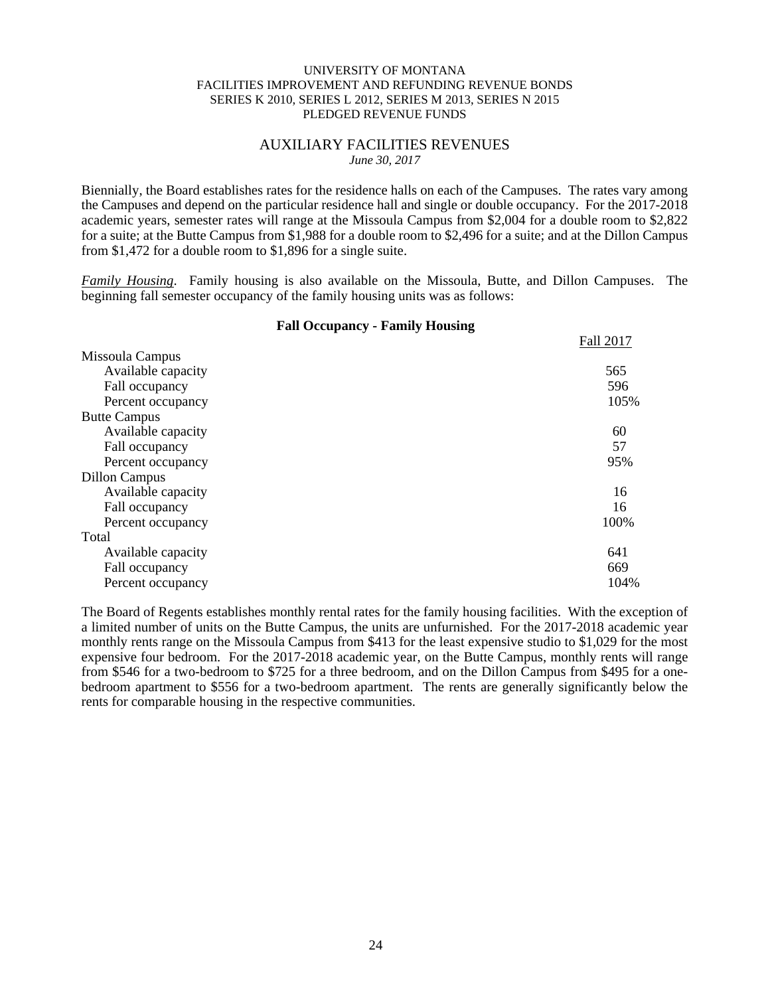## AUXILIARY FACILITIES REVENUES *June 30, 2017*

Biennially, the Board establishes rates for the residence halls on each of the Campuses. The rates vary among the Campuses and depend on the particular residence hall and single or double occupancy. For the 2017-2018 academic years, semester rates will range at the Missoula Campus from \$2,004 for a double room to \$2,822 for a suite; at the Butte Campus from \$1,988 for a double room to \$2,496 for a suite; and at the Dillon Campus from \$1,472 for a double room to \$1,896 for a single suite.

*Family Housing*. Family housing is also available on the Missoula, Butte, and Dillon Campuses. The beginning fall semester occupancy of the family housing units was as follows:

**Fall Occupancy - Family Housing**

|                      | Fall 2017 |
|----------------------|-----------|
| Missoula Campus      |           |
| Available capacity   | 565       |
| Fall occupancy       | 596       |
| Percent occupancy    | 105%      |
| <b>Butte Campus</b>  |           |
| Available capacity   | 60        |
| Fall occupancy       | 57        |
| Percent occupancy    | 95%       |
| <b>Dillon Campus</b> |           |
| Available capacity   | 16        |
| Fall occupancy       | 16        |
| Percent occupancy    | 100%      |
| Total                |           |
| Available capacity   | 641       |
| Fall occupancy       | 669       |
| Percent occupancy    | 104%      |

The Board of Regents establishes monthly rental rates for the family housing facilities. With the exception of a limited number of units on the Butte Campus, the units are unfurnished. For the 2017-2018 academic year monthly rents range on the Missoula Campus from \$413 for the least expensive studio to \$1,029 for the most expensive four bedroom. For the 2017-2018 academic year, on the Butte Campus, monthly rents will range from \$546 for a two-bedroom to \$725 for a three bedroom, and on the Dillon Campus from \$495 for a onebedroom apartment to \$556 for a two-bedroom apartment. The rents are generally significantly below the rents for comparable housing in the respective communities.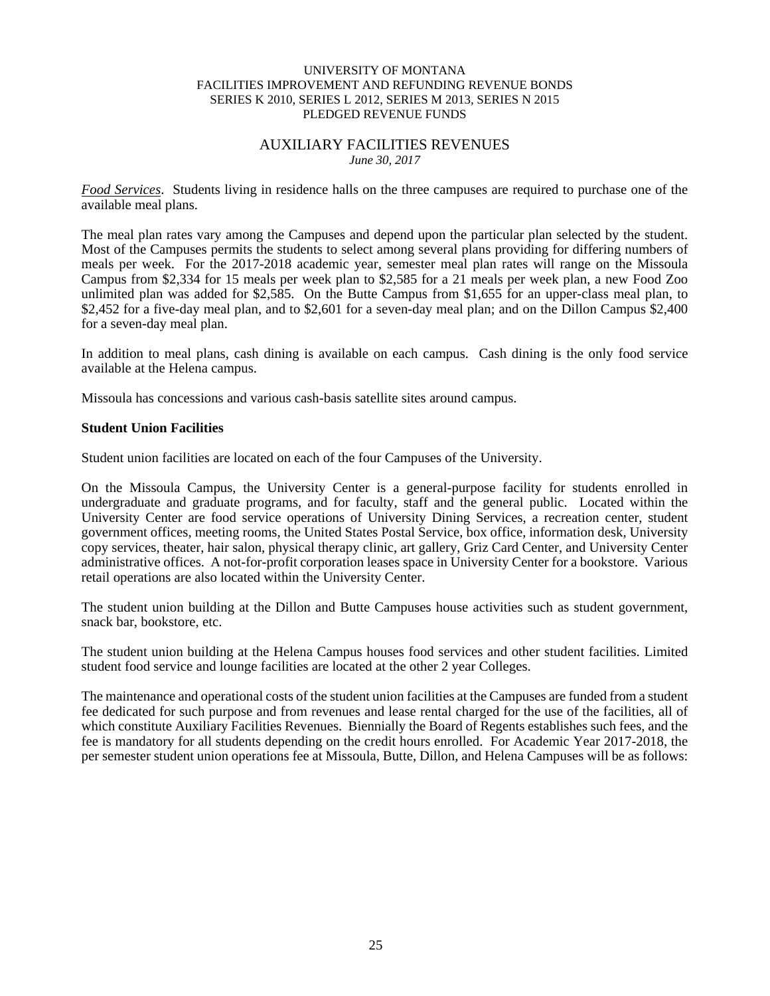# AUXILIARY FACILITIES REVENUES *June 30, 2017*

*Food Services*. Students living in residence halls on the three campuses are required to purchase one of the available meal plans.

The meal plan rates vary among the Campuses and depend upon the particular plan selected by the student. Most of the Campuses permits the students to select among several plans providing for differing numbers of meals per week. For the 2017-2018 academic year, semester meal plan rates will range on the Missoula Campus from \$2,334 for 15 meals per week plan to \$2,585 for a 21 meals per week plan, a new Food Zoo unlimited plan was added for \$2,585. On the Butte Campus from \$1,655 for an upper-class meal plan, to \$2,452 for a five-day meal plan, and to \$2,601 for a seven-day meal plan; and on the Dillon Campus \$2,400 for a seven-day meal plan.

In addition to meal plans, cash dining is available on each campus. Cash dining is the only food service available at the Helena campus.

Missoula has concessions and various cash-basis satellite sites around campus.

#### **Student Union Facilities**

Student union facilities are located on each of the four Campuses of the University.

On the Missoula Campus, the University Center is a general-purpose facility for students enrolled in undergraduate and graduate programs, and for faculty, staff and the general public. Located within the University Center are food service operations of University Dining Services, a recreation center, student government offices, meeting rooms, the United States Postal Service, box office, information desk, University copy services, theater, hair salon, physical therapy clinic, art gallery, Griz Card Center, and University Center administrative offices. A not-for-profit corporation leases space in University Center for a bookstore. Various retail operations are also located within the University Center.

The student union building at the Dillon and Butte Campuses house activities such as student government, snack bar, bookstore, etc.

The student union building at the Helena Campus houses food services and other student facilities. Limited student food service and lounge facilities are located at the other 2 year Colleges.

The maintenance and operational costs of the student union facilities at the Campuses are funded from a student fee dedicated for such purpose and from revenues and lease rental charged for the use of the facilities, all of which constitute Auxiliary Facilities Revenues. Biennially the Board of Regents establishes such fees, and the fee is mandatory for all students depending on the credit hours enrolled. For Academic Year 2017-2018, the per semester student union operations fee at Missoula, Butte, Dillon, and Helena Campuses will be as follows: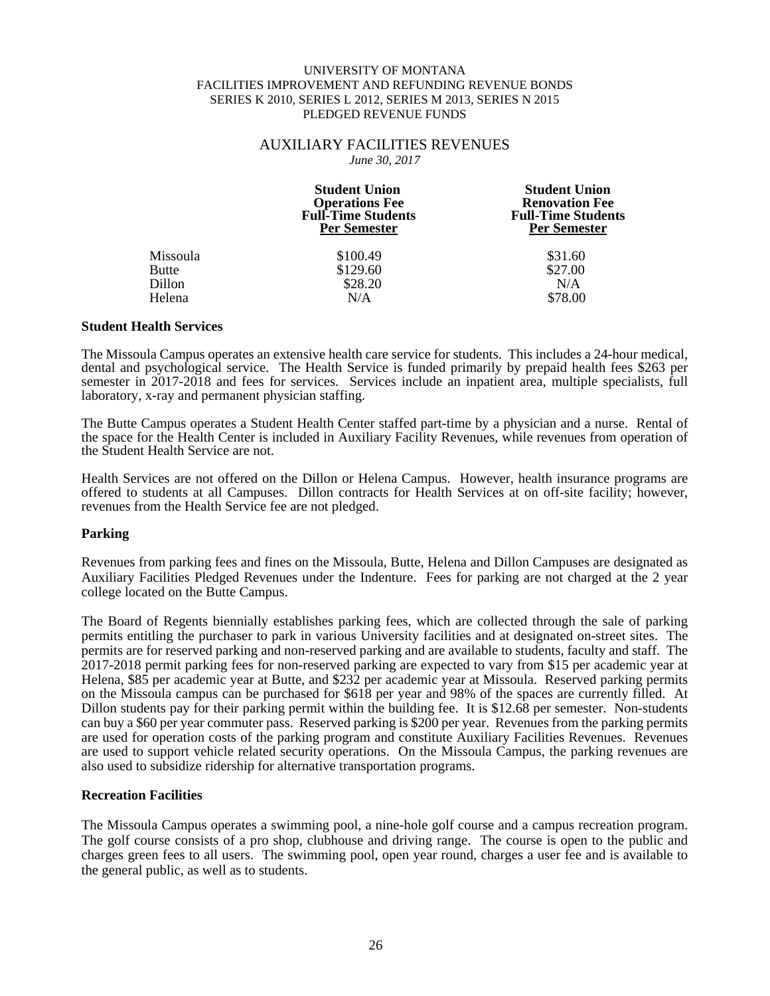#### AUXILIARY FACILITIES REVENUES *June 30, 2017*

|                 | <b>Student Union</b><br><b>Operations Fee</b><br><b>Full-Time Students</b><br><b>Per Semester</b> | <b>Student Union</b><br><b>Renovation Fee</b><br><b>Full-Time Students</b><br><b>Per Semester</b> |
|-----------------|---------------------------------------------------------------------------------------------------|---------------------------------------------------------------------------------------------------|
| <b>Missoula</b> | \$100.49                                                                                          | \$31.60                                                                                           |
| <b>Butte</b>    | \$129.60                                                                                          | \$27.00                                                                                           |
| <b>Dillon</b>   | \$28.20                                                                                           | N/A                                                                                               |
| Helena          | N/A                                                                                               | \$78.00                                                                                           |

#### **Student Health Services**

The Missoula Campus operates an extensive health care service for students. This includes a 24-hour medical, dental and psychological service. The Health Service is funded primarily by prepaid health fees \$263 per semester in 2017-2018 and fees for services. Services include an inpatient area, multiple specialists, full laboratory, x-ray and permanent physician staffing.

The Butte Campus operates a Student Health Center staffed part-time by a physician and a nurse. Rental of the space for the Health Center is included in Auxiliary Facility Revenues, while revenues from operation of the Student Health Service are not.

Health Services are not offered on the Dillon or Helena Campus. However, health insurance programs are offered to students at all Campuses. Dillon contracts for Health Services at on off-site facility; however, revenues from the Health Service fee are not pledged.

#### **Parking**

Revenues from parking fees and fines on the Missoula, Butte, Helena and Dillon Campuses are designated as Auxiliary Facilities Pledged Revenues under the Indenture. Fees for parking are not charged at the 2 year college located on the Butte Campus.

The Board of Regents biennially establishes parking fees, which are collected through the sale of parking permits entitling the purchaser to park in various University facilities and at designated on-street sites. The permits are for reserved parking and non-reserved parking and are available to students, faculty and staff. The 2017-2018 permit parking fees for non-reserved parking are expected to vary from \$15 per academic year at Helena, \$85 per academic year at Butte, and \$232 per academic year at Missoula. Reserved parking permits on the Missoula campus can be purchased for \$618 per year and 98% of the spaces are currently filled. At Dillon students pay for their parking permit within the building fee. It is \$12.68 per semester. Non-students can buy a \$60 per year commuter pass. Reserved parking is \$200 per year. Revenues from the parking permits are used for operation costs of the parking program and constitute Auxiliary Facilities Revenues. Revenues are used to support vehicle related security operations. On the Missoula Campus, the parking revenues are also used to subsidize ridership for alternative transportation programs.

#### **Recreation Facilities**

The Missoula Campus operates a swimming pool, a nine-hole golf course and a campus recreation program. The golf course consists of a pro shop, clubhouse and driving range. The course is open to the public and charges green fees to all users. The swimming pool, open year round, charges a user fee and is available to the general public, as well as to students.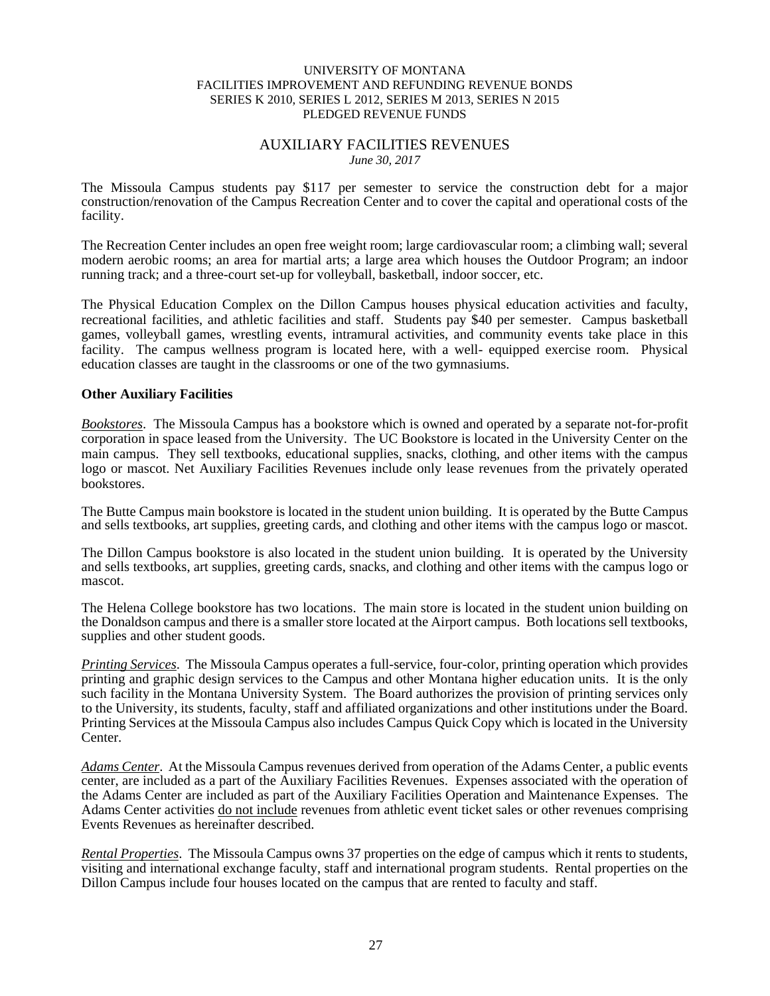# AUXILIARY FACILITIES REVENUES *June 30, 2017*

The Missoula Campus students pay \$117 per semester to service the construction debt for a major construction/renovation of the Campus Recreation Center and to cover the capital and operational costs of the facility.

The Recreation Center includes an open free weight room; large cardiovascular room; a climbing wall; several modern aerobic rooms; an area for martial arts; a large area which houses the Outdoor Program; an indoor running track; and a three-court set-up for volleyball, basketball, indoor soccer, etc.

The Physical Education Complex on the Dillon Campus houses physical education activities and faculty, recreational facilities, and athletic facilities and staff. Students pay \$40 per semester. Campus basketball games, volleyball games, wrestling events, intramural activities, and community events take place in this facility. The campus wellness program is located here, with a well- equipped exercise room. Physical education classes are taught in the classrooms or one of the two gymnasiums.

## **Other Auxiliary Facilities**

*Bookstores*. The Missoula Campus has a bookstore which is owned and operated by a separate not-for-profit corporation in space leased from the University. The UC Bookstore is located in the University Center on the main campus. They sell textbooks, educational supplies, snacks, clothing, and other items with the campus logo or mascot. Net Auxiliary Facilities Revenues include only lease revenues from the privately operated bookstores.

The Butte Campus main bookstore is located in the student union building. It is operated by the Butte Campus and sells textbooks, art supplies, greeting cards, and clothing and other items with the campus logo or mascot.

The Dillon Campus bookstore is also located in the student union building. It is operated by the University and sells textbooks, art supplies, greeting cards, snacks, and clothing and other items with the campus logo or mascot.

The Helena College bookstore has two locations. The main store is located in the student union building on the Donaldson campus and there is a smaller store located at the Airport campus. Both locations sell textbooks, supplies and other student goods.

*Printing Services*. The Missoula Campus operates a full-service, four-color, printing operation which provides printing and graphic design services to the Campus and other Montana higher education units. It is the only such facility in the Montana University System. The Board authorizes the provision of printing services only to the University, its students, faculty, staff and affiliated organizations and other institutions under the Board. Printing Services at the Missoula Campus also includes Campus Quick Copy which is located in the University Center.

*Adams Center*. At the Missoula Campus revenues derived from operation of the Adams Center, a public events center, are included as a part of the Auxiliary Facilities Revenues. Expenses associated with the operation of the Adams Center are included as part of the Auxiliary Facilities Operation and Maintenance Expenses. The Adams Center activities do not include revenues from athletic event ticket sales or other revenues comprising Events Revenues as hereinafter described.

*Rental Properties*. The Missoula Campus owns 37 properties on the edge of campus which it rents to students, visiting and international exchange faculty, staff and international program students. Rental properties on the Dillon Campus include four houses located on the campus that are rented to faculty and staff.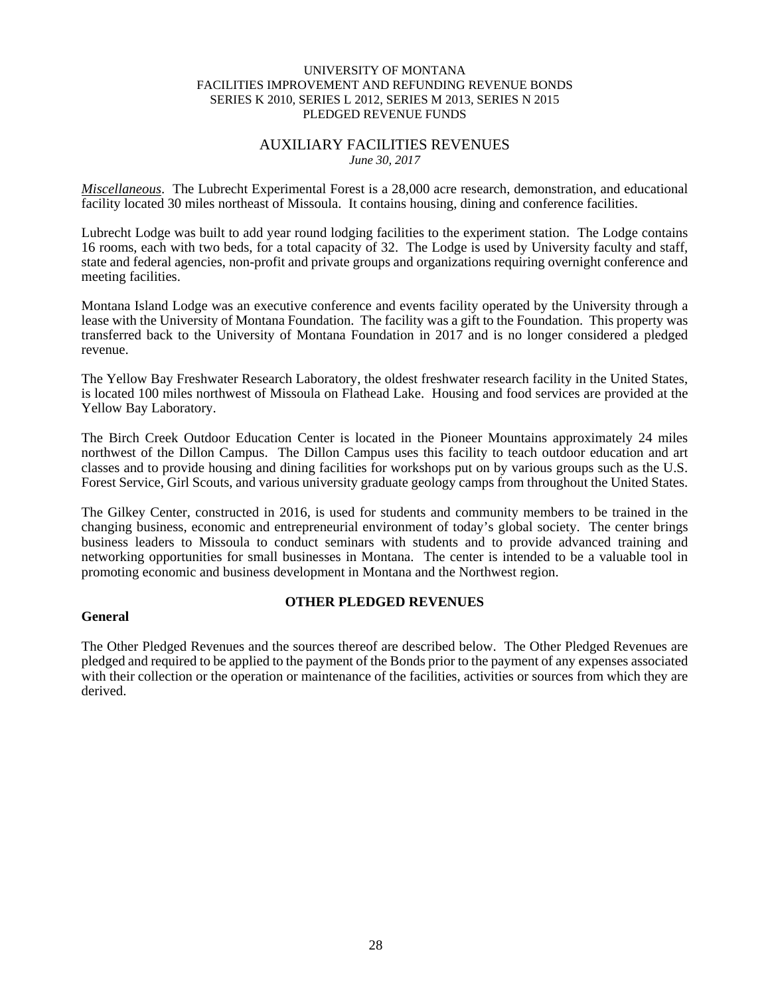# AUXILIARY FACILITIES REVENUES *June 30, 2017*

*Miscellaneous*. The Lubrecht Experimental Forest is a 28,000 acre research, demonstration, and educational facility located 30 miles northeast of Missoula. It contains housing, dining and conference facilities.

Lubrecht Lodge was built to add year round lodging facilities to the experiment station. The Lodge contains 16 rooms, each with two beds, for a total capacity of 32. The Lodge is used by University faculty and staff, state and federal agencies, non-profit and private groups and organizations requiring overnight conference and meeting facilities.

Montana Island Lodge was an executive conference and events facility operated by the University through a lease with the University of Montana Foundation. The facility was a gift to the Foundation. This property was transferred back to the University of Montana Foundation in 2017 and is no longer considered a pledged revenue.

The Yellow Bay Freshwater Research Laboratory, the oldest freshwater research facility in the United States, is located 100 miles northwest of Missoula on Flathead Lake. Housing and food services are provided at the Yellow Bay Laboratory.

The Birch Creek Outdoor Education Center is located in the Pioneer Mountains approximately 24 miles northwest of the Dillon Campus. The Dillon Campus uses this facility to teach outdoor education and art classes and to provide housing and dining facilities for workshops put on by various groups such as the U.S. Forest Service, Girl Scouts, and various university graduate geology camps from throughout the United States.

The Gilkey Center, constructed in 2016, is used for students and community members to be trained in the changing business, economic and entrepreneurial environment of today's global society. The center brings business leaders to Missoula to conduct seminars with students and to provide advanced training and networking opportunities for small businesses in Montana. The center is intended to be a valuable tool in promoting economic and business development in Montana and the Northwest region.

# **General**

# **OTHER PLEDGED REVENUES**

The Other Pledged Revenues and the sources thereof are described below. The Other Pledged Revenues are pledged and required to be applied to the payment of the Bonds prior to the payment of any expenses associated with their collection or the operation or maintenance of the facilities, activities or sources from which they are derived.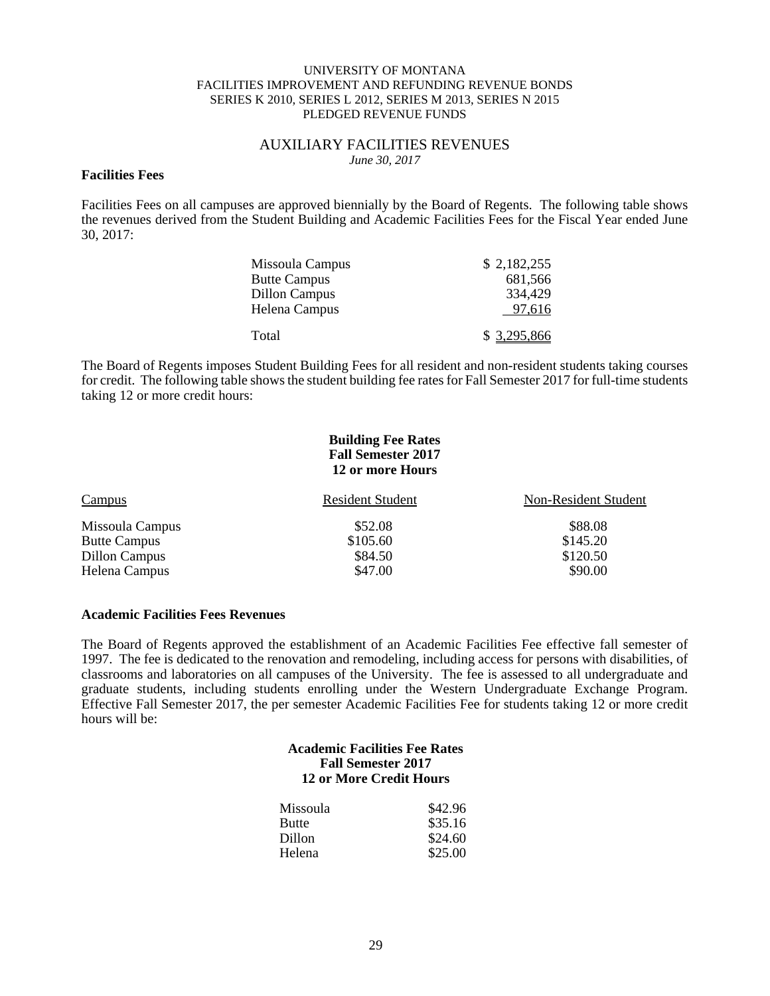#### AUXILIARY FACILITIES REVENUES *June 30, 2017*

#### **Facilities Fees**

Facilities Fees on all campuses are approved biennially by the Board of Regents. The following table shows the revenues derived from the Student Building and Academic Facilities Fees for the Fiscal Year ended June 30, 2017:

| Missoula Campus<br><b>Butte Campus</b> | \$2,182,255<br>681,566 |
|----------------------------------------|------------------------|
| <b>Dillon Campus</b><br>Helena Campus  | 334,429<br>97,616      |
| Total                                  | \$3,295,866            |

The Board of Regents imposes Student Building Fees for all resident and non-resident students taking courses for credit. The following table shows the student building fee rates for Fall Semester 2017 for full-time students taking 12 or more credit hours:

#### **Building Fee Rates Fall Semester 2017 12 or more Hours**

| Campus              | <b>Resident Student</b> | Non-Resident Student |
|---------------------|-------------------------|----------------------|
| Missoula Campus     | \$52.08                 | \$88.08              |
| <b>Butte Campus</b> | \$105.60                | \$145.20             |
| Dillon Campus       | \$84.50                 | \$120.50             |
| Helena Campus       | \$47.00                 | \$90.00              |

#### **Academic Facilities Fees Revenues**

The Board of Regents approved the establishment of an Academic Facilities Fee effective fall semester of 1997. The fee is dedicated to the renovation and remodeling, including access for persons with disabilities, of classrooms and laboratories on all campuses of the University. The fee is assessed to all undergraduate and graduate students, including students enrolling under the Western Undergraduate Exchange Program. Effective Fall Semester 2017, the per semester Academic Facilities Fee for students taking 12 or more credit hours will be:

# **Academic Facilities Fee Rates Fall Semester 2017 12 or More Credit Hours**

| Missoula     | \$42.96 |
|--------------|---------|
| <b>Butte</b> | \$35.16 |
| Dillon       | \$24.60 |
| Helena       | \$25.00 |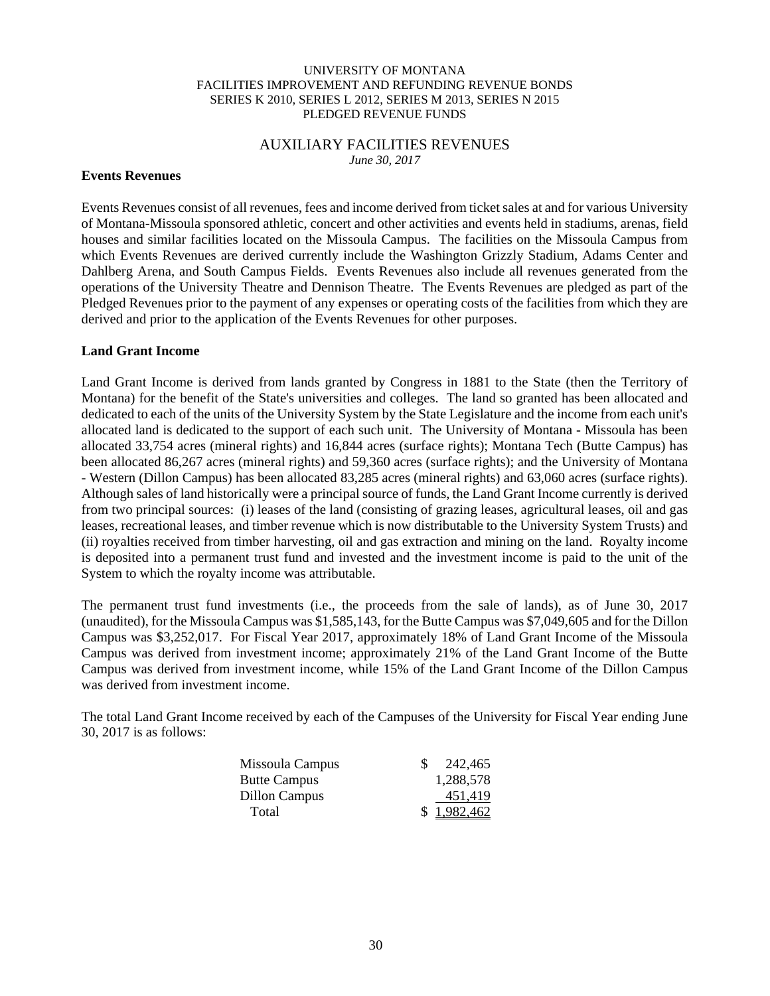#### AUXILIARY FACILITIES REVENUES *June 30, 2017*

## **Events Revenues**

Events Revenues consist of all revenues, fees and income derived from ticket sales at and for various University of Montana-Missoula sponsored athletic, concert and other activities and events held in stadiums, arenas, field houses and similar facilities located on the Missoula Campus. The facilities on the Missoula Campus from which Events Revenues are derived currently include the Washington Grizzly Stadium, Adams Center and Dahlberg Arena, and South Campus Fields. Events Revenues also include all revenues generated from the operations of the University Theatre and Dennison Theatre. The Events Revenues are pledged as part of the Pledged Revenues prior to the payment of any expenses or operating costs of the facilities from which they are derived and prior to the application of the Events Revenues for other purposes.

## **Land Grant Income**

Land Grant Income is derived from lands granted by Congress in 1881 to the State (then the Territory of Montana) for the benefit of the State's universities and colleges. The land so granted has been allocated and dedicated to each of the units of the University System by the State Legislature and the income from each unit's allocated land is dedicated to the support of each such unit. The University of Montana - Missoula has been allocated 33,754 acres (mineral rights) and 16,844 acres (surface rights); Montana Tech (Butte Campus) has been allocated 86,267 acres (mineral rights) and 59,360 acres (surface rights); and the University of Montana - Western (Dillon Campus) has been allocated 83,285 acres (mineral rights) and 63,060 acres (surface rights). Although sales of land historically were a principal source of funds, the Land Grant Income currently is derived from two principal sources: (i) leases of the land (consisting of grazing leases, agricultural leases, oil and gas leases, recreational leases, and timber revenue which is now distributable to the University System Trusts) and (ii) royalties received from timber harvesting, oil and gas extraction and mining on the land. Royalty income is deposited into a permanent trust fund and invested and the investment income is paid to the unit of the System to which the royalty income was attributable.

The permanent trust fund investments (i.e., the proceeds from the sale of lands), as of June 30, 2017 (unaudited), for the Missoula Campus was \$1,585,143, for the Butte Campus was \$7,049,605 and for the Dillon Campus was \$3,252,017. For Fiscal Year 2017, approximately 18% of Land Grant Income of the Missoula Campus was derived from investment income; approximately 21% of the Land Grant Income of the Butte Campus was derived from investment income, while 15% of the Land Grant Income of the Dillon Campus was derived from investment income.

The total Land Grant Income received by each of the Campuses of the University for Fiscal Year ending June 30, 2017 is as follows:

| Missoula Campus     | 242.465     |
|---------------------|-------------|
| <b>Butte Campus</b> | 1,288,578   |
| Dillon Campus       | 451.419     |
| Total               | \$1,982,462 |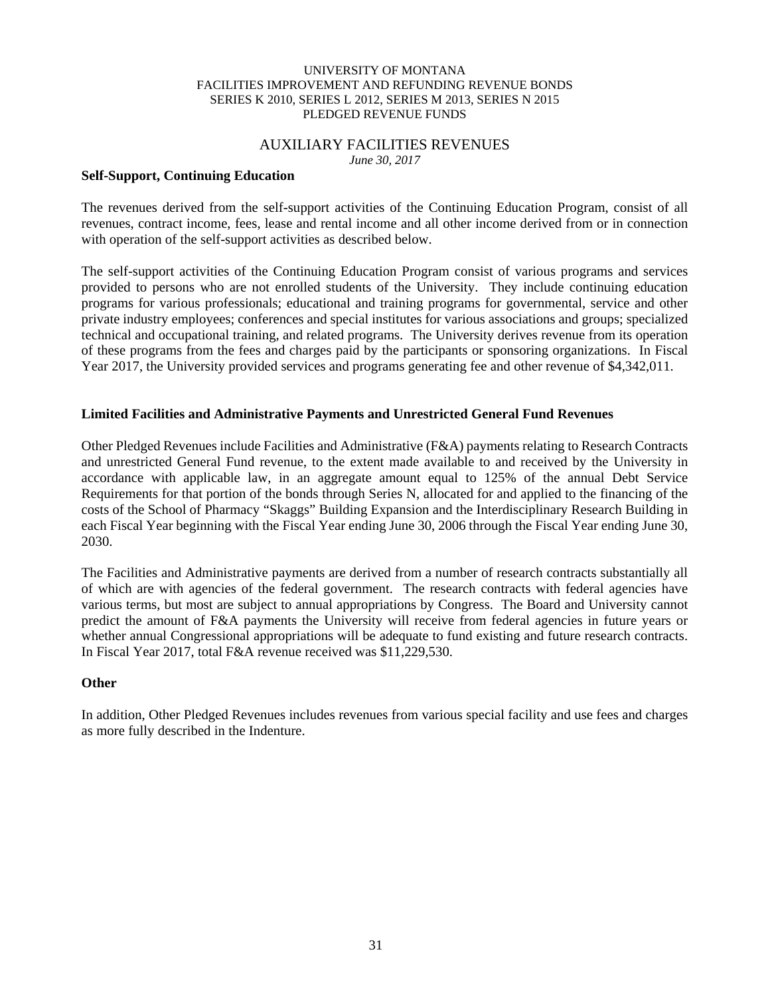#### AUXILIARY FACILITIES REVENUES *June 30, 2017*

#### **Self-Support, Continuing Education**

The revenues derived from the self-support activities of the Continuing Education Program, consist of all revenues, contract income, fees, lease and rental income and all other income derived from or in connection with operation of the self-support activities as described below.

The self-support activities of the Continuing Education Program consist of various programs and services provided to persons who are not enrolled students of the University. They include continuing education programs for various professionals; educational and training programs for governmental, service and other private industry employees; conferences and special institutes for various associations and groups; specialized technical and occupational training, and related programs. The University derives revenue from its operation of these programs from the fees and charges paid by the participants or sponsoring organizations. In Fiscal Year 2017, the University provided services and programs generating fee and other revenue of \$4,342,011.

# **Limited Facilities and Administrative Payments and Unrestricted General Fund Revenues**

Other Pledged Revenues include Facilities and Administrative (F&A) payments relating to Research Contracts and unrestricted General Fund revenue, to the extent made available to and received by the University in accordance with applicable law, in an aggregate amount equal to 125% of the annual Debt Service Requirements for that portion of the bonds through Series N, allocated for and applied to the financing of the costs of the School of Pharmacy "Skaggs" Building Expansion and the Interdisciplinary Research Building in each Fiscal Year beginning with the Fiscal Year ending June 30, 2006 through the Fiscal Year ending June 30, 2030.

The Facilities and Administrative payments are derived from a number of research contracts substantially all of which are with agencies of the federal government. The research contracts with federal agencies have various terms, but most are subject to annual appropriations by Congress. The Board and University cannot predict the amount of F&A payments the University will receive from federal agencies in future years or whether annual Congressional appropriations will be adequate to fund existing and future research contracts. In Fiscal Year 2017, total F&A revenue received was \$11,229,530.

# **Other**

In addition, Other Pledged Revenues includes revenues from various special facility and use fees and charges as more fully described in the Indenture.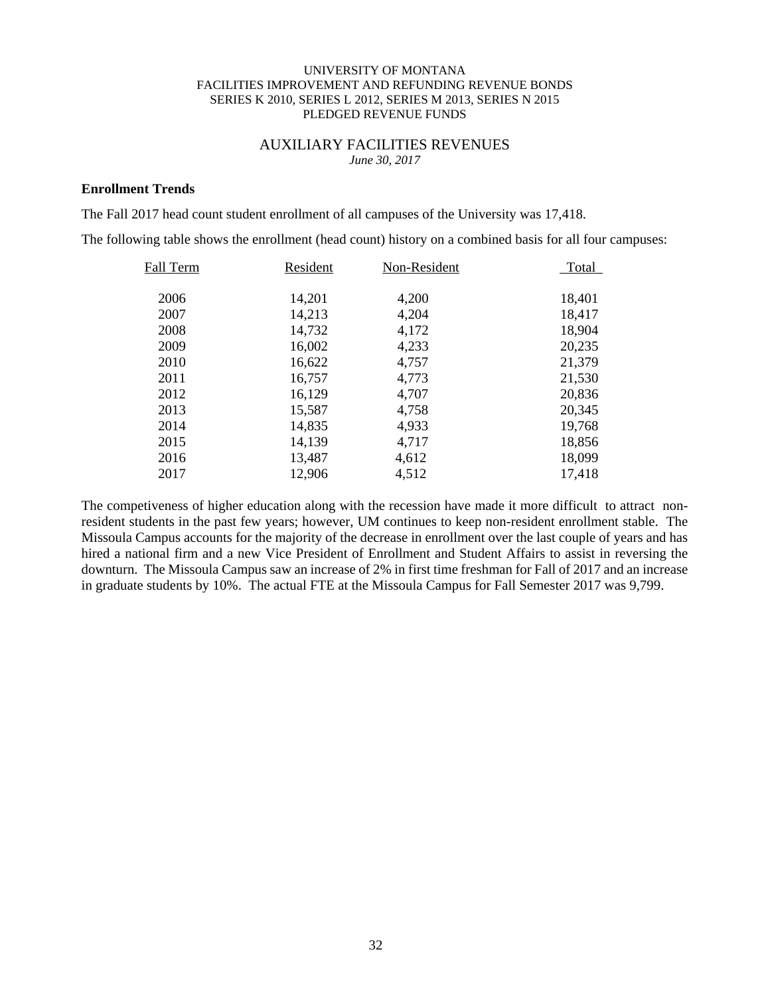# AUXILIARY FACILITIES REVENUES *June 30, 2017*

#### **Enrollment Trends**

The Fall 2017 head count student enrollment of all campuses of the University was 17,418.

The following table shows the enrollment (head count) history on a combined basis for all four campuses:

| Fall Term | Resident | Non-Resident | Total  |
|-----------|----------|--------------|--------|
|           |          |              |        |
| 2006      | 14,201   | 4,200        | 18,401 |
| 2007      | 14,213   | 4,204        | 18,417 |
| 2008      | 14,732   | 4,172        | 18,904 |
| 2009      | 16,002   | 4,233        | 20,235 |
| 2010      | 16,622   | 4,757        | 21,379 |
| 2011      | 16,757   | 4,773        | 21,530 |
| 2012      | 16,129   | 4,707        | 20,836 |
| 2013      | 15,587   | 4,758        | 20,345 |
| 2014      | 14,835   | 4,933        | 19,768 |
| 2015      | 14,139   | 4,717        | 18,856 |
| 2016      | 13,487   | 4,612        | 18,099 |
| 2017      | 12,906   | 4,512        | 17,418 |

The competiveness of higher education along with the recession have made it more difficult to attract nonresident students in the past few years; however, UM continues to keep non-resident enrollment stable. The Missoula Campus accounts for the majority of the decrease in enrollment over the last couple of years and has hired a national firm and a new Vice President of Enrollment and Student Affairs to assist in reversing the downturn. The Missoula Campus saw an increase of 2% in first time freshman for Fall of 2017 and an increase in graduate students by 10%. The actual FTE at the Missoula Campus for Fall Semester 2017 was 9,799.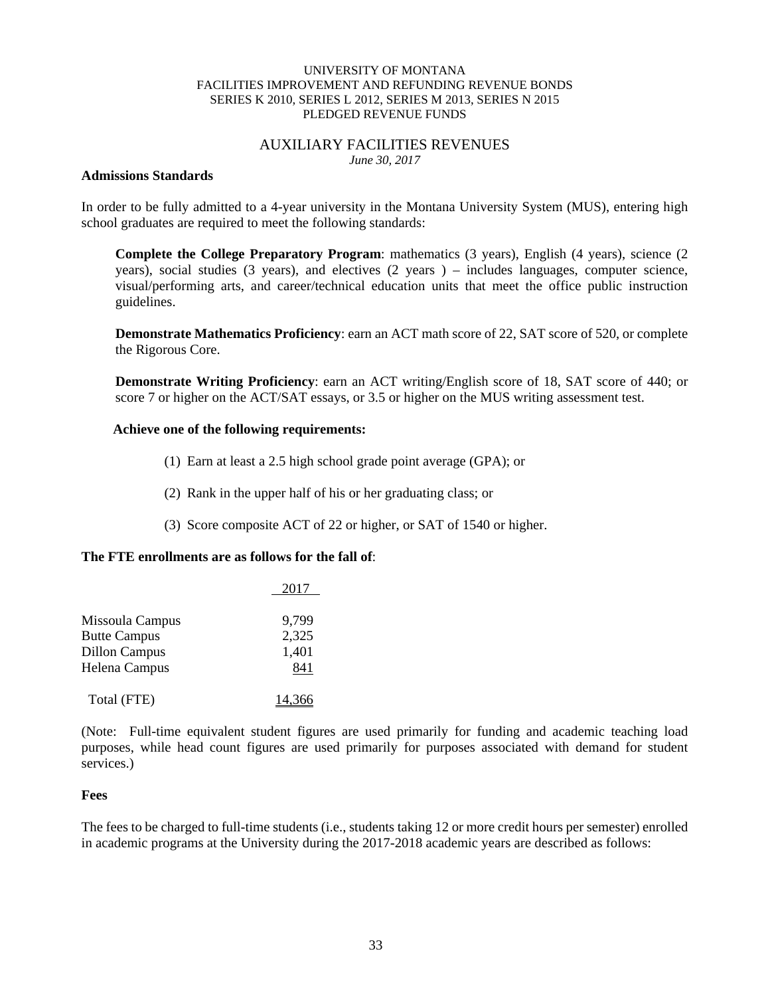## AUXILIARY FACILITIES REVENUES *June 30, 2017*

# **Admissions Standards**

In order to be fully admitted to a 4-year university in the Montana University System (MUS), entering high school graduates are required to meet the following standards:

**Complete the College Preparatory Program**: mathematics (3 years), English (4 years), science (2 years), social studies (3 years), and electives (2 years ) – includes languages, computer science, visual/performing arts, and career/technical education units that meet the office public instruction guidelines.

**Demonstrate Mathematics Proficiency**: earn an ACT math score of 22, SAT score of 520, or complete the Rigorous Core.

 **Demonstrate Writing Proficiency**: earn an ACT writing/English score of 18, SAT score of 440; or score 7 or higher on the ACT/SAT essays, or 3.5 or higher on the MUS writing assessment test.

# **Achieve one of the following requirements:**

- (1) Earn at least a 2.5 high school grade point average (GPA); or
- (2) Rank in the upper half of his or her graduating class; or
- (3) Score composite ACT of 22 or higher, or SAT of 1540 or higher.

# **The FTE enrollments are as follows for the fall of**:

|                      | 2017  |
|----------------------|-------|
| Missoula Campus      | 9,799 |
| <b>Butte Campus</b>  | 2,325 |
| <b>Dillon Campus</b> | 1,401 |
| Helena Campus        | 841   |
| Total (FTE)          |       |

(Note: Full-time equivalent student figures are used primarily for funding and academic teaching load purposes, while head count figures are used primarily for purposes associated with demand for student services.)

#### **Fees**

The fees to be charged to full-time students (i.e., students taking 12 or more credit hours per semester) enrolled in academic programs at the University during the 2017-2018 academic years are described as follows: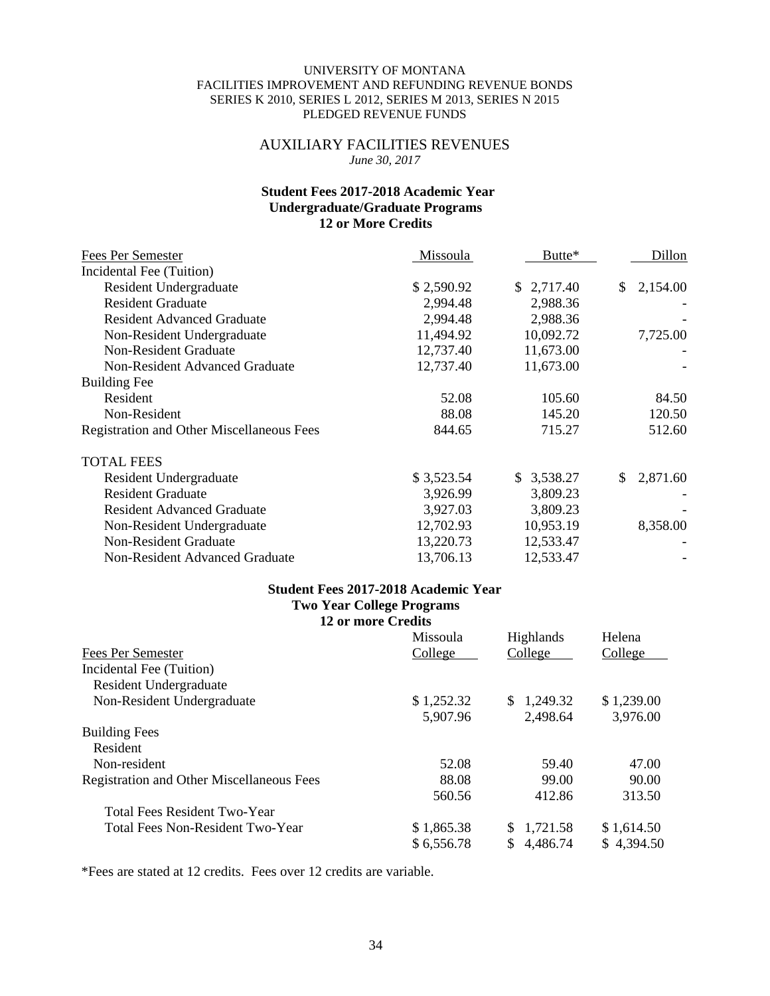# AUXILIARY FACILITIES REVENUES *June 30, 2017*

# **Student Fees 2017-2018 Academic Year Undergraduate/Graduate Programs 12 or More Credits**

| Fees Per Semester                                | Missoula   | Butte*     | Dillon         |
|--------------------------------------------------|------------|------------|----------------|
| Incidental Fee (Tuition)                         |            |            |                |
| Resident Undergraduate                           | \$2,590.92 | \$2,717.40 | 2,154.00<br>\$ |
| <b>Resident Graduate</b>                         | 2,994.48   | 2,988.36   |                |
| <b>Resident Advanced Graduate</b>                | 2,994.48   | 2,988.36   |                |
| Non-Resident Undergraduate                       | 11,494.92  | 10,092.72  | 7,725.00       |
| Non-Resident Graduate                            | 12,737.40  | 11,673.00  |                |
| <b>Non-Resident Advanced Graduate</b>            | 12,737.40  | 11,673.00  |                |
| <b>Building Fee</b>                              |            |            |                |
| Resident                                         | 52.08      | 105.60     | 84.50          |
| Non-Resident                                     | 88.08      | 145.20     | 120.50         |
| <b>Registration and Other Miscellaneous Fees</b> | 844.65     | 715.27     | 512.60         |
| <b>TOTAL FEES</b>                                |            |            |                |
| Resident Undergraduate                           | \$3,523.54 | \$3,538.27 | \$<br>2,871.60 |
| <b>Resident Graduate</b>                         | 3,926.99   | 3,809.23   |                |
| <b>Resident Advanced Graduate</b>                | 3,927.03   | 3,809.23   |                |
| Non-Resident Undergraduate                       | 12,702.93  | 10,953.19  | 8,358.00       |
| <b>Non-Resident Graduate</b>                     | 13,220.73  | 12,533.47  |                |
| <b>Non-Resident Advanced Graduate</b>            | 13,706.13  | 12,533.47  |                |

# **Student Fees 2017-2018 Academic Year Two Year College Programs**

|                                                  | <b>12 or more Credits</b> |                  |            |
|--------------------------------------------------|---------------------------|------------------|------------|
|                                                  | Missoula                  | <b>Highlands</b> | Helena     |
| Fees Per Semester                                | College                   | College          | College    |
| Incidental Fee (Tuition)                         |                           |                  |            |
| Resident Undergraduate                           |                           |                  |            |
| Non-Resident Undergraduate                       | \$1,252.32                | \$1,249.32       | \$1,239.00 |
|                                                  | 5,907.96                  | 2,498.64         | 3,976.00   |
| <b>Building Fees</b>                             |                           |                  |            |
| Resident                                         |                           |                  |            |
| Non-resident                                     | 52.08                     | 59.40            | 47.00      |
| <b>Registration and Other Miscellaneous Fees</b> | 88.08                     | 99.00            | 90.00      |
|                                                  | 560.56                    | 412.86           | 313.50     |
| <b>Total Fees Resident Two-Year</b>              |                           |                  |            |
| Total Fees Non-Resident Two-Year                 | \$1,865.38                | 1,721.58<br>S.   | \$1,614.50 |
|                                                  | \$6,556.78                | 4,486.74<br>S.   | \$4,394.50 |

\*Fees are stated at 12 credits. Fees over 12 credits are variable.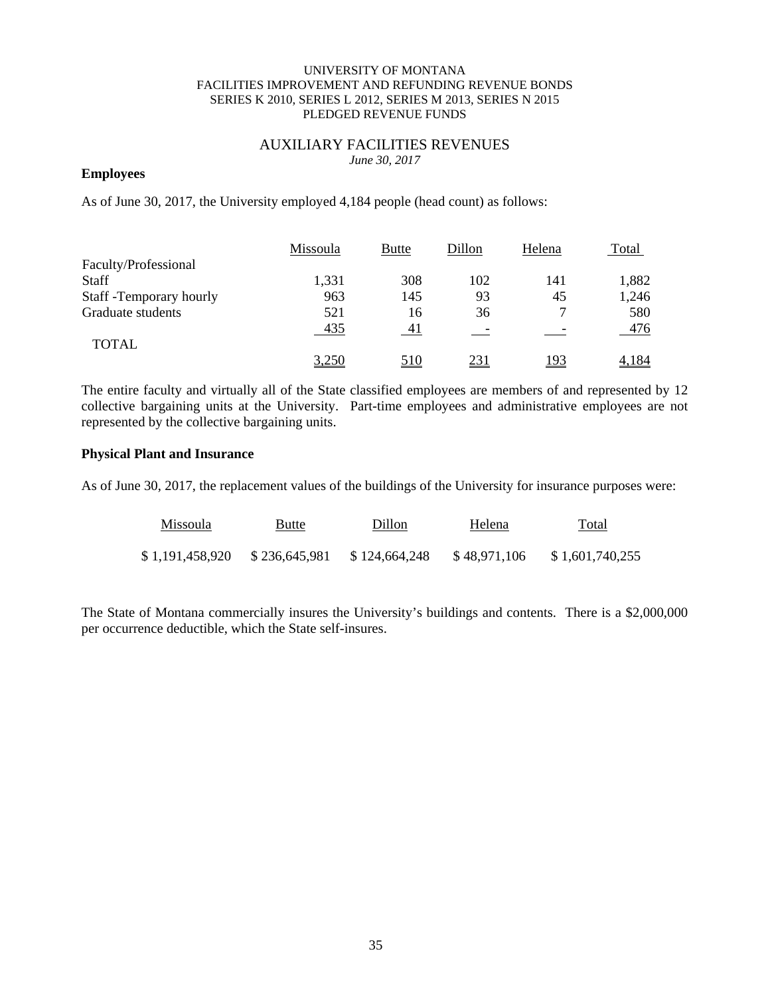# AUXILIARY FACILITIES REVENUES *June 30, 2017*

# **Employees**

As of June 30, 2017, the University employed 4,184 people (head count) as follows:

|                          | Missoula | <b>Butte</b> | Dillon     | Helena      | Total |
|--------------------------|----------|--------------|------------|-------------|-------|
| Faculty/Professional     |          |              |            |             |       |
| <b>Staff</b>             | 1,331    | 308          | 102        | 141         | 1,882 |
| Staff - Temporary hourly | 963      | 145          | 93         | 45          | 1,246 |
| Graduate students        | 521      | 16           | 36         | ⇁           | 580   |
|                          | 435      | 41           |            |             | 476   |
| <b>TOTAL</b>             |          |              |            |             |       |
|                          | 3,250    | 510          | <u>231</u> | <u> 193</u> | 4.184 |

The entire faculty and virtually all of the State classified employees are members of and represented by 12 collective bargaining units at the University. Part-time employees and administrative employees are not represented by the collective bargaining units.

## **Physical Plant and Insurance**

As of June 30, 2017, the replacement values of the buildings of the University for insurance purposes were:

| <b>Missoula</b> | Butte         | Dillon        | Helena       | Total           |
|-----------------|---------------|---------------|--------------|-----------------|
| \$1.191.458.920 | \$236,645,981 | \$124,664,248 | \$48,971,106 | \$1,601,740,255 |

The State of Montana commercially insures the University's buildings and contents. There is a \$2,000,000 per occurrence deductible, which the State self-insures.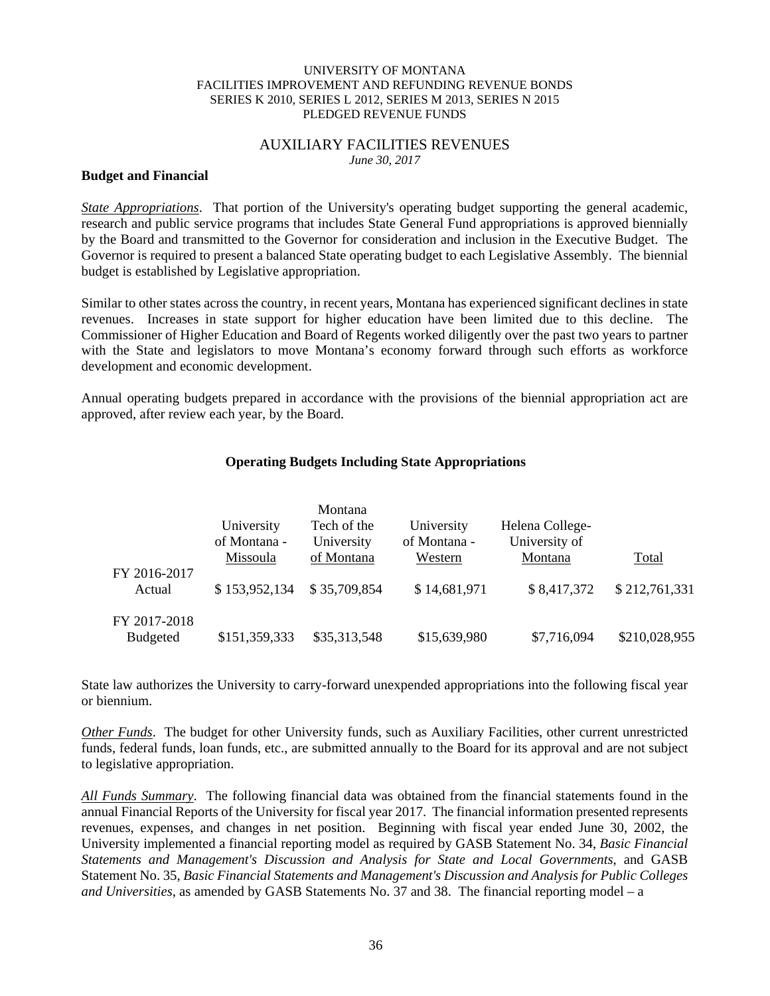#### AUXILIARY FACILITIES REVENUES *June 30, 2017*

## **Budget and Financial**

*State Appropriations*. That portion of the University's operating budget supporting the general academic, research and public service programs that includes State General Fund appropriations is approved biennially by the Board and transmitted to the Governor for consideration and inclusion in the Executive Budget. The Governor is required to present a balanced State operating budget to each Legislative Assembly. The biennial budget is established by Legislative appropriation.

Similar to other states across the country, in recent years, Montana has experienced significant declines in state revenues. Increases in state support for higher education have been limited due to this decline. The Commissioner of Higher Education and Board of Regents worked diligently over the past two years to partner with the State and legislators to move Montana's economy forward through such efforts as workforce development and economic development.

Annual operating budgets prepared in accordance with the provisions of the biennial appropriation act are approved, after review each year, by the Board.

# **Operating Budgets Including State Appropriations**

|                                 | University<br>of Montana -<br>Missoula | Montana<br>Tech of the<br>University<br>of Montana | University<br>of Montana -<br>Western | Helena College-<br>University of<br>Montana | Total         |
|---------------------------------|----------------------------------------|----------------------------------------------------|---------------------------------------|---------------------------------------------|---------------|
| FY 2016-2017<br>Actual          | \$153,952,134                          | \$35,709,854                                       | \$14,681,971                          | \$8,417,372                                 | \$212,761,331 |
| FY 2017-2018<br><b>Budgeted</b> | \$151,359,333                          | \$35,313,548                                       | \$15,639,980                          | \$7,716,094                                 | \$210,028,955 |

State law authorizes the University to carry-forward unexpended appropriations into the following fiscal year or biennium.

*Other Funds*. The budget for other University funds, such as Auxiliary Facilities, other current unrestricted funds, federal funds, loan funds, etc., are submitted annually to the Board for its approval and are not subject to legislative appropriation.

*All Funds Summary*. The following financial data was obtained from the financial statements found in the annual Financial Reports of the University for fiscal year 2017. The financial information presented represents revenues, expenses, and changes in net position. Beginning with fiscal year ended June 30, 2002, the University implemented a financial reporting model as required by GASB Statement No. 34, *Basic Financial Statements and Management's Discussion and Analysis for State and Local Governments*, and GASB Statement No. 35, *Basic Financial Statements and Management's Discussion and Analysis for Public Colleges and Universities*, as amended by GASB Statements No. 37 and 38. The financial reporting model – a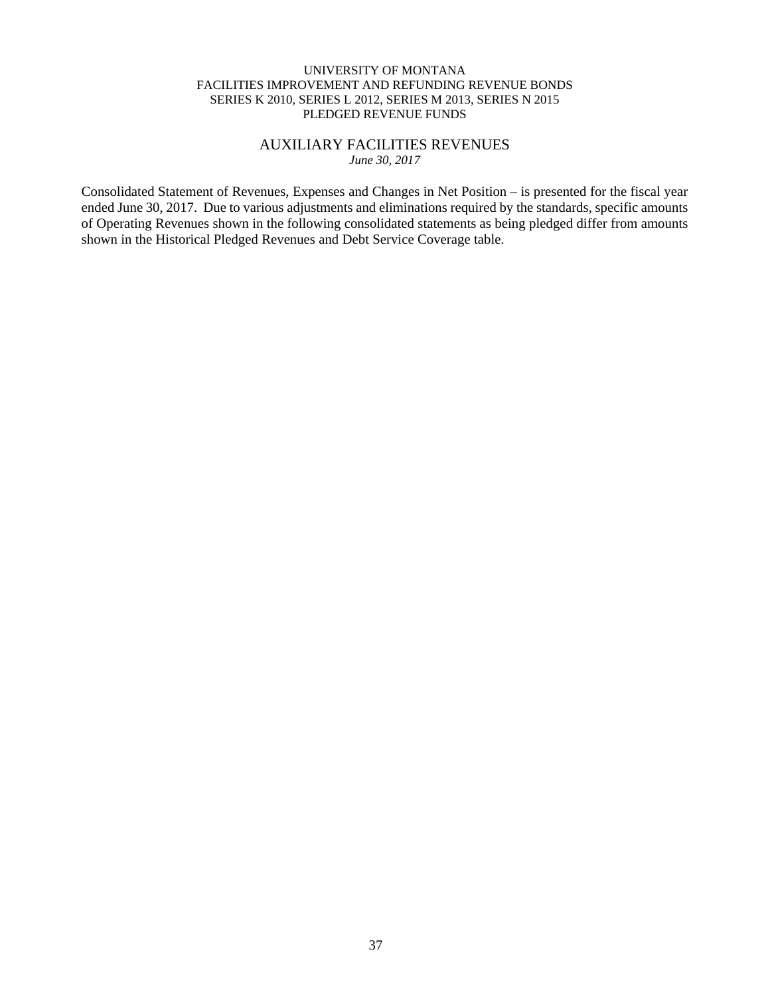# AUXILIARY FACILITIES REVENUES *June 30, 2017*

Consolidated Statement of Revenues, Expenses and Changes in Net Position – is presented for the fiscal year ended June 30, 2017. Due to various adjustments and eliminations required by the standards, specific amounts of Operating Revenues shown in the following consolidated statements as being pledged differ from amounts shown in the Historical Pledged Revenues and Debt Service Coverage table.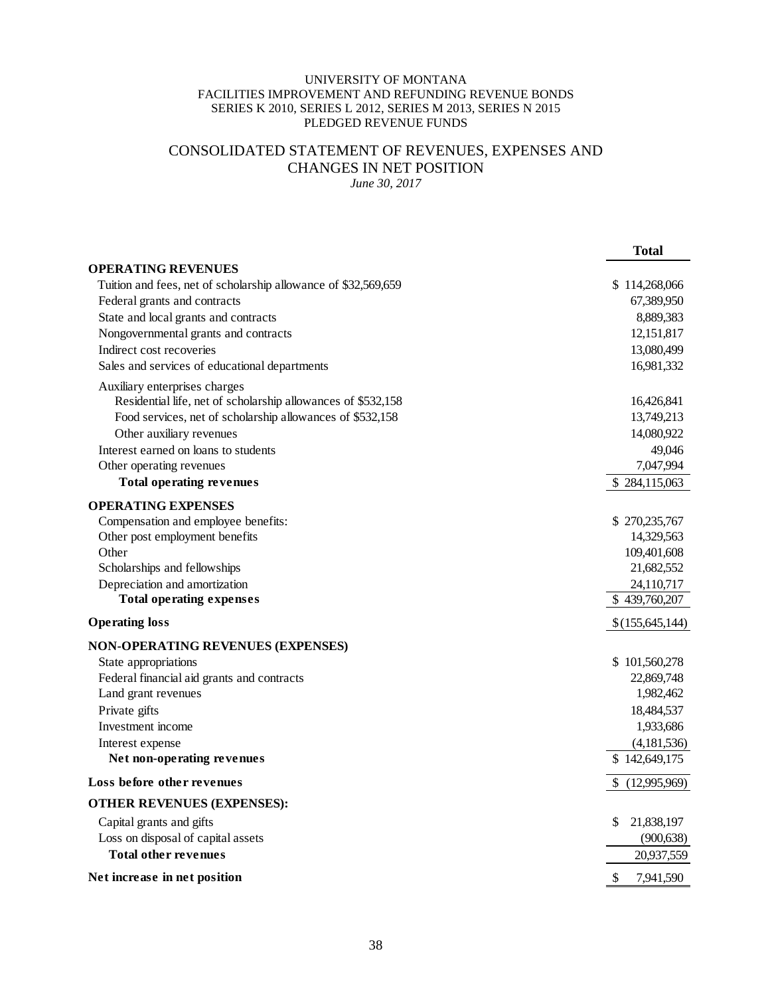# CONSOLIDATED STATEMENT OF REVENUES, EXPENSES AND CHANGES IN NET POSITION

*June 30, 2017* 

|                                                                | <b>Total</b>     |
|----------------------------------------------------------------|------------------|
| <b>OPERATING REVENUES</b>                                      |                  |
| Tuition and fees, net of scholarship allowance of \$32,569,659 | \$114,268,066    |
| Federal grants and contracts                                   | 67,389,950       |
| State and local grants and contracts                           | 8,889,383        |
| Nongovernmental grants and contracts                           | 12,151,817       |
| Indirect cost recoveries                                       | 13,080,499       |
| Sales and services of educational departments                  | 16,981,332       |
| Auxiliary enterprises charges                                  |                  |
| Residential life, net of scholarship allowances of \$532,158   | 16,426,841       |
| Food services, net of scholarship allowances of \$532,158      | 13,749,213       |
| Other auxiliary revenues                                       | 14,080,922       |
| Interest earned on loans to students                           | 49,046           |
| Other operating revenues                                       | 7,047,994        |
| <b>Total operating revenues</b>                                | \$284,115,063    |
| <b>OPERATING EXPENSES</b>                                      |                  |
| Compensation and employee benefits:                            | \$270,235,767    |
| Other post employment benefits                                 | 14,329,563       |
| Other                                                          | 109,401,608      |
| Scholarships and fellowships                                   | 21,682,552       |
| Depreciation and amortization                                  | 24,110,717       |
| <b>Total operating expenses</b>                                | \$439,760,207    |
| <b>Operating loss</b>                                          | \$(155,645,144)  |
| <b>NON-OPERATING REVENUES (EXPENSES)</b>                       |                  |
| State appropriations                                           | \$101,560,278    |
| Federal financial aid grants and contracts                     | 22,869,748       |
| Land grant revenues                                            | 1,982,462        |
| Private gifts                                                  | 18,484,537       |
| Investment income                                              | 1,933,686        |
| Interest expense                                               | (4,181,536)      |
| Net non-operating revenues                                     | \$142,649,175    |
| Loss before other revenues                                     | \$(12,995,969)   |
| <b>OTHER REVENUES (EXPENSES):</b>                              |                  |
| Capital grants and gifts                                       | \$<br>21,838,197 |
| Loss on disposal of capital assets                             | (900, 638)       |
| <b>Total other revenues</b>                                    | 20,937,559       |
| Net increase in net position                                   | \$<br>7,941,590  |